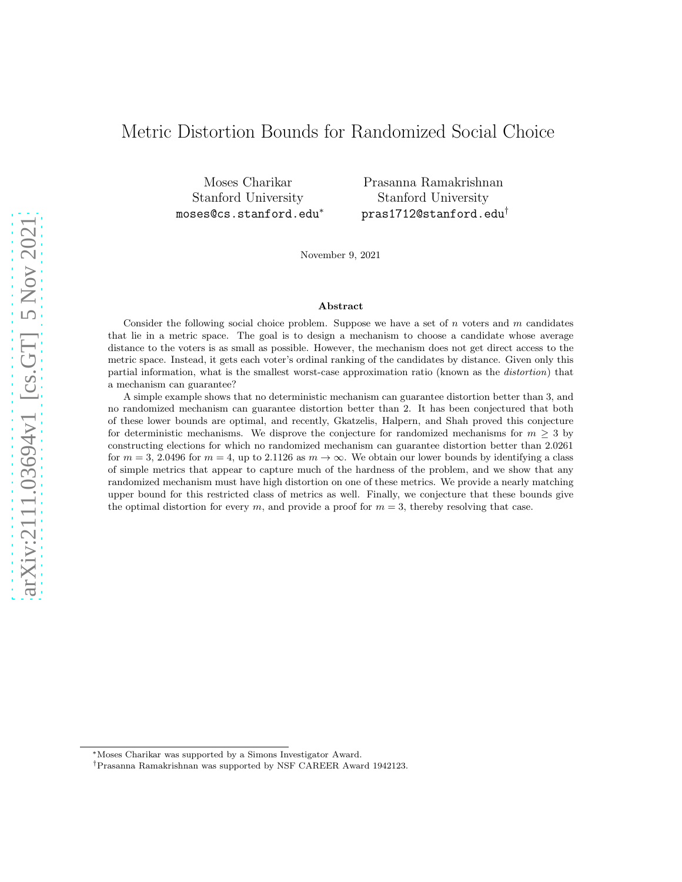# Metric Distortion Bounds for Randomized Social Choice

Moses Charikar Stanford University moses@cs.stanford.edu<sup>∗</sup>

Prasanna Ramakrishnan Stanford University pras1712@stanford.edu†

November 9, 2021

#### Abstract

Consider the following social choice problem. Suppose we have a set of  $n$  voters and  $m$  candidates that lie in a metric space. The goal is to design a mechanism to choose a candidate whose average distance to the voters is as small as possible. However, the mechanism does not get direct access to the metric space. Instead, it gets each voter's ordinal ranking of the candidates by distance. Given only this partial information, what is the smallest worst-case approximation ratio (known as the distortion) that a mechanism can guarantee?

A simple example shows that no deterministic mechanism can guarantee distortion better than 3, and no randomized mechanism can guarantee distortion better than 2. It has been conjectured that both of these lower bounds are optimal, and recently, Gkatzelis, Halpern, and Shah proved this conjecture for deterministic mechanisms. We disprove the conjecture for randomized mechanisms for  $m \geq 3$  by constructing elections for which no randomized mechanism can guarantee distortion better than 2.0261 for  $m = 3, 2.0496$  for  $m = 4$ , up to 2.1126 as  $m \to \infty$ . We obtain our lower bounds by identifying a class of simple metrics that appear to capture much of the hardness of the problem, and we show that any randomized mechanism must have high distortion on one of these metrics. We provide a nearly matching upper bound for this restricted class of metrics as well. Finally, we conjecture that these bounds give the optimal distortion for every m, and provide a proof for  $m = 3$ , thereby resolving that case.

<sup>∗</sup>Moses Charikar was supported by a Simons Investigator Award.

<sup>†</sup>Prasanna Ramakrishnan was supported by NSF CAREER Award 1942123.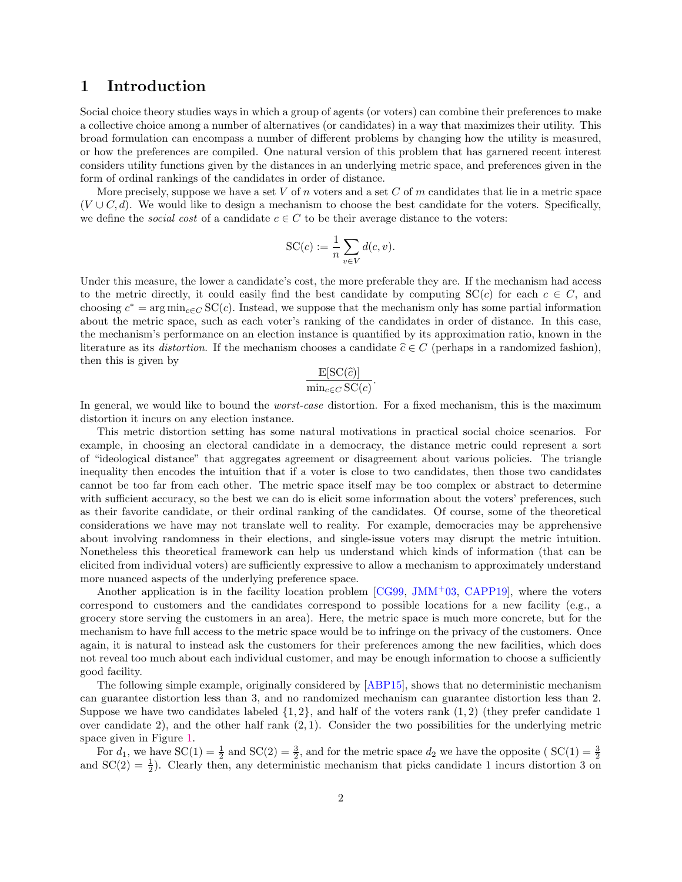### <span id="page-1-0"></span>1 Introduction

Social choice theory studies ways in which a group of agents (or voters) can combine their preferences to make a collective choice among a number of alternatives (or candidates) in a way that maximizes their utility. This broad formulation can encompass a number of different problems by changing how the utility is measured, or how the preferences are compiled. One natural version of this problem that has garnered recent interest considers utility functions given by the distances in an underlying metric space, and preferences given in the form of ordinal rankings of the candidates in order of distance.

More precisely, suppose we have a set V of n voters and a set C of m candidates that lie in a metric space  $(V \cup C, d)$ . We would like to design a mechanism to choose the best candidate for the voters. Specifically, we define the *social cost* of a candidate  $c \in C$  to be their average distance to the voters:

$$
SC(c) := \frac{1}{n} \sum_{v \in V} d(c, v).
$$

Under this measure, the lower a candidate's cost, the more preferable they are. If the mechanism had access to the metric directly, it could easily find the best candidate by computing  $SC(c)$  for each  $c \in C$ , and choosing  $c^* = \arg \min_{c \in C} \text{SC}(c)$ . Instead, we suppose that the mechanism only has some partial information about the metric space, such as each voter's ranking of the candidates in order of distance. In this case, the mechanism's performance on an election instance is quantified by its approximation ratio, known in the literature as its *distortion*. If the mechanism chooses a candidate  $\hat{c} \in C$  (perhaps in a randomized fashion), then this is given by

$$
\frac{\mathbb{E}[\mathrm{SC}(\widehat{c})]}{\min_{c \in C} \mathrm{SC}(c)}.
$$

In general, we would like to bound the *worst-case* distortion. For a fixed mechanism, this is the maximum distortion it incurs on any election instance.

This metric distortion setting has some natural motivations in practical social choice scenarios. For example, in choosing an electoral candidate in a democracy, the distance metric could represent a sort of "ideological distance" that aggregates agreement or disagreement about various policies. The triangle inequality then encodes the intuition that if a voter is close to two candidates, then those two candidates cannot be too far from each other. The metric space itself may be too complex or abstract to determine with sufficient accuracy, so the best we can do is elicit some information about the voters' preferences, such as their favorite candidate, or their ordinal ranking of the candidates. Of course, some of the theoretical considerations we have may not translate well to reality. For example, democracies may be apprehensive about involving randomness in their elections, and single-issue voters may disrupt the metric intuition. Nonetheless this theoretical framework can help us understand which kinds of information (that can be elicited from individual voters) are sufficiently expressive to allow a mechanism to approximately understand more nuanced aspects of the underlying preference space.

Another application is in the facility location problem  $[CG99, JMM<sup>+</sup>03, CAPP19]$  $[CG99, JMM<sup>+</sup>03, CAPP19]$  $[CG99, JMM<sup>+</sup>03, CAPP19]$  $[CG99, JMM<sup>+</sup>03, CAPP19]$ , where the voters correspond to customers and the candidates correspond to possible locations for a new facility (e.g., a grocery store serving the customers in an area). Here, the metric space is much more concrete, but for the mechanism to have full access to the metric space would be to infringe on the privacy of the customers. Once again, it is natural to instead ask the customers for their preferences among the new facilities, which does not reveal too much about each individual customer, and may be enough information to choose a sufficiently good facility.

The following simple example, originally considered by [\[ABP15\]](#page-19-3), shows that no deterministic mechanism can guarantee distortion less than 3, and no randomized mechanism can guarantee distortion less than 2. Suppose we have two candidates labeled  $\{1, 2\}$ , and half of the voters rank  $(1, 2)$  (they prefer candidate 1) over candidate 2), and the other half rank  $(2, 1)$ . Consider the two possibilities for the underlying metric space given in Figure [1.](#page-2-0)

For  $d_1$ , we have  $SC(1) = \frac{1}{2}$  and  $SC(2) = \frac{3}{2}$ , and for the metric space  $d_2$  we have the opposite ( $SC(1) = \frac{3}{2}$ and  $SC(2) = \frac{1}{2}$ . Clearly then, any deterministic mechanism that picks candidate 1 incurs distortion 3 on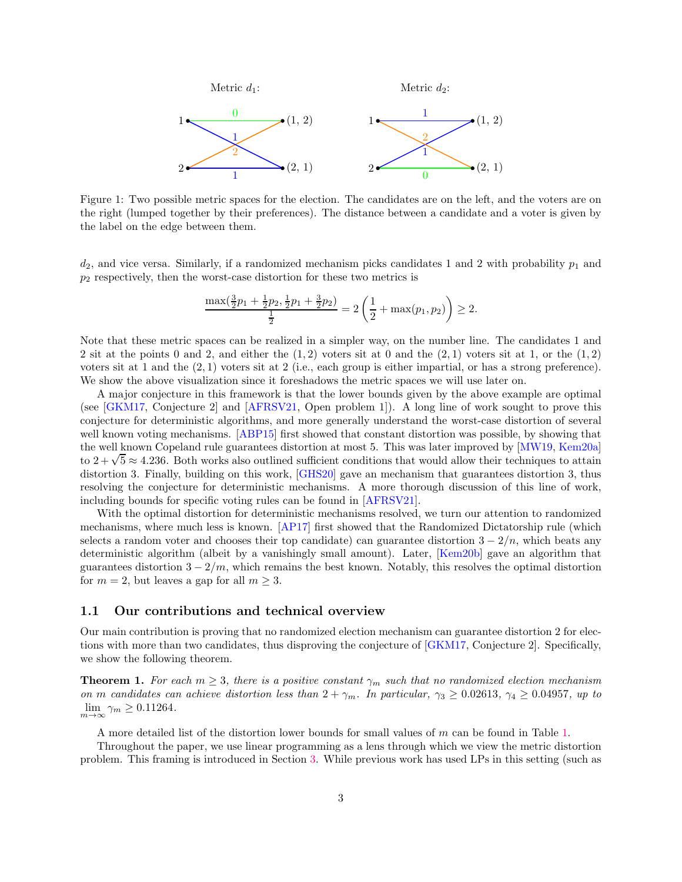<span id="page-2-0"></span>

Figure 1: Two possible metric spaces for the election. The candidates are on the left, and the voters are on the right (lumped together by their preferences). The distance between a candidate and a voter is given by the label on the edge between them.

 $d_2$ , and vice versa. Similarly, if a randomized mechanism picks candidates 1 and 2 with probability  $p_1$  and  $p_2$  respectively, then the worst-case distortion for these two metrics is

$$
\frac{\max(\frac{3}{2}p_1+\frac{1}{2}p_2,\frac{1}{2}p_1+\frac{3}{2}p_2)}{\frac{1}{2}}=2\left(\frac{1}{2}+\max(p_1,p_2)\right)\geq 2.
$$

Note that these metric spaces can be realized in a simpler way, on the number line. The candidates 1 and 2 sit at the points 0 and 2, and either the  $(1, 2)$  voters sit at 0 and the  $(2, 1)$  voters sit at 1, or the  $(1, 2)$ voters sit at 1 and the  $(2,1)$  voters sit at 2 (i.e., each group is either impartial, or has a strong preference). We show the above visualization since it foreshadows the metric spaces we will use later on.

A major conjecture in this framework is that the lower bounds given by the above example are optimal (see [\[GKM17,](#page-19-4) Conjecture 2] and [\[AFRSV21,](#page-19-5) Open problem 1]). A long line of work sought to prove this conjecture for deterministic algorithms, and more generally understand the worst-case distortion of several well known voting mechanisms. [\[ABP15\]](#page-19-3) first showed that constant distortion was possible, by showing that the well known Copeland rule guarantees distortion at most 5. This was later improved by [\[MW19,](#page-19-6) [Kem20a\]](#page-19-7) to  $2 + \sqrt{5} \approx 4.236$ . Both works also outlined sufficient conditions that would allow their techniques to attain distortion 3. Finally, building on this work, [\[GHS20\]](#page-19-8) gave an mechanism that guarantees distortion 3, thus resolving the conjecture for deterministic mechanisms. A more thorough discussion of this line of work, including bounds for specific voting rules can be found in [\[AFRSV21\]](#page-19-5).

With the optimal distortion for deterministic mechanisms resolved, we turn our attention to randomized mechanisms, where much less is known. [\[AP17\]](#page-19-9) first showed that the Randomized Dictatorship rule (which selects a random voter and chooses their top candidate) can guarantee distortion  $3 - 2/n$ , which beats any deterministic algorithm (albeit by a vanishingly small amount). Later, [\[Kem20b\]](#page-19-10) gave an algorithm that guarantees distortion  $3 - 2/m$ , which remains the best known. Notably, this resolves the optimal distortion for  $m = 2$ , but leaves a gap for all  $m \geq 3$ .

#### <span id="page-2-2"></span>1.1 Our contributions and technical overview

Our main contribution is proving that no randomized election mechanism can guarantee distortion 2 for elections with more than two candidates, thus disproving the conjecture of [\[GKM17,](#page-19-4) Conjecture 2]. Specifically, we show the following theorem.

<span id="page-2-1"></span>**Theorem 1.** For each  $m \geq 3$ , there is a positive constant  $\gamma_m$  such that no randomized election mechanism *on* m *candidates can achieve distortion less than*  $2 + \gamma_m$ *. In particular,*  $\gamma_3 \geq 0.02613$ ,  $\gamma_4 \geq 0.04957$ *, up to*  $\lim_{m\to\infty}\gamma_m\geq 0.11264.$ 

A more detailed list of the distortion lower bounds for small values of m can be found in Table [1.](#page-8-0)

Throughout the paper, we use linear programming as a lens through which we view the metric distortion problem. This framing is introduced in Section [3.](#page-5-0) While previous work has used LPs in this setting (such as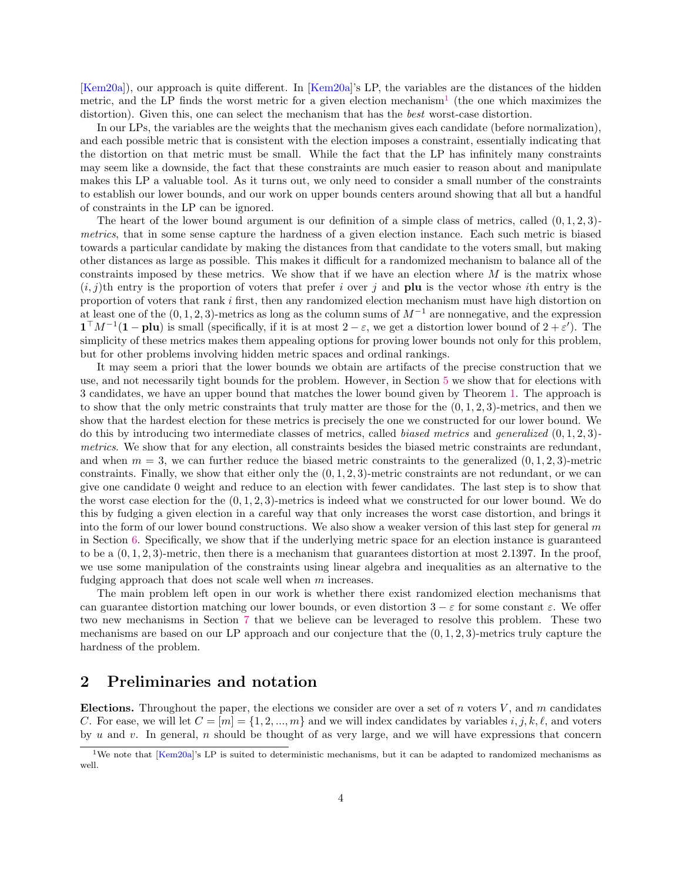[\[Kem20a\]](#page-19-7)), our approach is quite different. In [\[Kem20a\]](#page-19-7)'s LP, the variables are the distances of the hidden metric, and the LP finds the worst metric for a given election mechanism<sup>[1](#page-3-0)</sup> (the one which maximizes the distortion). Given this, one can select the mechanism that has the *best* worst-case distortion.

In our LPs, the variables are the weights that the mechanism gives each candidate (before normalization), and each possible metric that is consistent with the election imposes a constraint, essentially indicating that the distortion on that metric must be small. While the fact that the LP has infinitely many constraints may seem like a downside, the fact that these constraints are much easier to reason about and manipulate makes this LP a valuable tool. As it turns out, we only need to consider a small number of the constraints to establish our lower bounds, and our work on upper bounds centers around showing that all but a handful of constraints in the LP can be ignored.

The heart of the lower bound argument is our definition of a simple class of metrics, called (0, 1, 2, 3) *metrics*, that in some sense capture the hardness of a given election instance. Each such metric is biased towards a particular candidate by making the distances from that candidate to the voters small, but making other distances as large as possible. This makes it difficult for a randomized mechanism to balance all of the constraints imposed by these metrics. We show that if we have an election where  $M$  is the matrix whose  $(i, j)$ th entry is the proportion of voters that prefer i over j and **plu** is the vector whose ith entry is the proportion of voters that rank i first, then any randomized election mechanism must have high distortion on at least one of the  $(0, 1, 2, 3)$ -metrics as long as the column sums of  $M^{-1}$  are nonnegative, and the expression  $\mathbf{1}^\top M^{-1}(\mathbf{1}-\mathbf{plu})$  is small (specifically, if it is at most  $2-\varepsilon$ , we get a distortion lower bound of  $2+\varepsilon'$ ). The simplicity of these metrics makes them appealing options for proving lower bounds not only for this problem, but for other problems involving hidden metric spaces and ordinal rankings.

It may seem a priori that the lower bounds we obtain are artifacts of the precise construction that we use, and not necessarily tight bounds for the problem. However, in Section [5](#page-9-0) we show that for elections with 3 candidates, we have an upper bound that matches the lower bound given by Theorem [1.](#page-2-1) The approach is to show that the only metric constraints that truly matter are those for the  $(0, 1, 2, 3)$ -metrics, and then we show that the hardest election for these metrics is precisely the one we constructed for our lower bound. We do this by introducing two intermediate classes of metrics, called *biased metrics* and *generalized* (0, 1, 2, 3) *metrics*. We show that for any election, all constraints besides the biased metric constraints are redundant, and when  $m = 3$ , we can further reduce the biased metric constraints to the generalized  $(0, 1, 2, 3)$ -metric constraints. Finally, we show that either only the  $(0, 1, 2, 3)$ -metric constraints are not redundant, or we can give one candidate 0 weight and reduce to an election with fewer candidates. The last step is to show that the worst case election for the  $(0, 1, 2, 3)$ -metrics is indeed what we constructed for our lower bound. We do this by fudging a given election in a careful way that only increases the worst case distortion, and brings it into the form of our lower bound constructions. We also show a weaker version of this last step for general  $m$ in Section [6.](#page-15-0) Specifically, we show that if the underlying metric space for an election instance is guaranteed to be a  $(0, 1, 2, 3)$ -metric, then there is a mechanism that guarantees distortion at most 2.1397. In the proof, we use some manipulation of the constraints using linear algebra and inequalities as an alternative to the fudging approach that does not scale well when m increases.

The main problem left open in our work is whether there exist randomized election mechanisms that can guarantee distortion matching our lower bounds, or even distortion  $3 - \varepsilon$  for some constant  $\varepsilon$ . We offer two new mechanisms in Section [7](#page-17-0) that we believe can be leveraged to resolve this problem. These two mechanisms are based on our LP approach and our conjecture that the  $(0, 1, 2, 3)$ -metrics truly capture the hardness of the problem.

### <span id="page-3-1"></span>2 Preliminaries and notation

Elections. Throughout the paper, the elections we consider are over a set of n voters  $V$ , and m candidates C. For ease, we will let  $C = [m] = \{1, 2, ..., m\}$  and we will index candidates by variables  $i, j, k, \ell$ , and voters by u and v. In general, n should be thought of as very large, and we will have expressions that concern

<span id="page-3-0"></span><sup>&</sup>lt;sup>1</sup>We note that [\[Kem20a\]](#page-19-7)'s LP is suited to deterministic mechanisms, but it can be adapted to randomized mechanisms as well.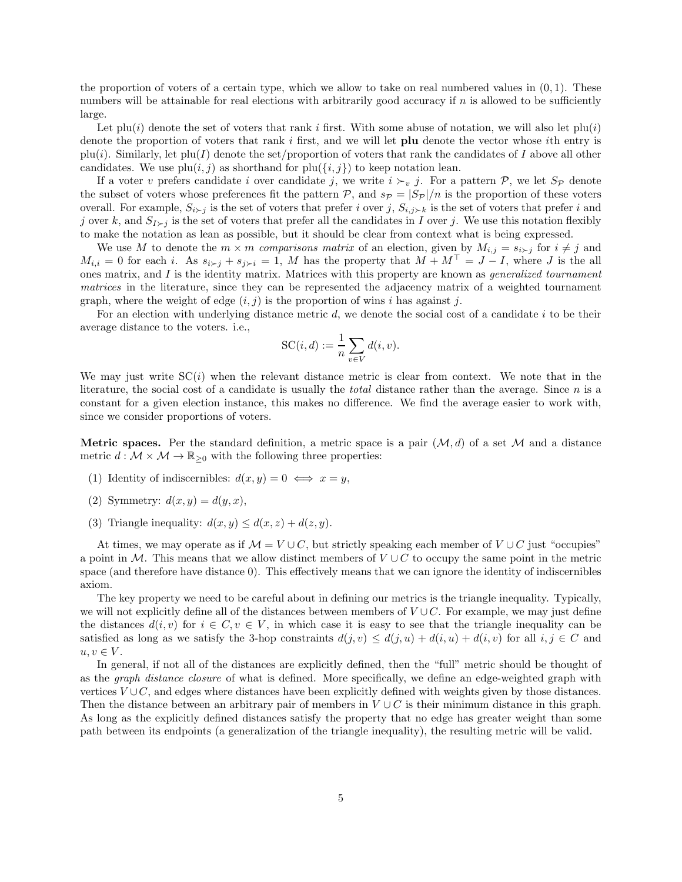the proportion of voters of a certain type, which we allow to take on real numbered values in  $(0, 1)$ . These numbers will be attainable for real elections with arbitrarily good accuracy if  $n$  is allowed to be sufficiently large.

Let plu(i) denote the set of voters that rank i first. With some abuse of notation, we will also let  $\text{plu}(i)$ denote the proportion of voters that rank  $i$  first, and we will let plu denote the vector whose  $i$ th entry is  $p(u(i))$ . Similarly, let  $p(u(I))$  denote the set/proportion of voters that rank the candidates of I above all other candidates. We use  $\text{plu}(i, j)$  as shorthand for  $\text{plu}(\{i, j\})$  to keep notation lean.

If a voter v prefers candidate i over candidate j, we write  $i \succ_v j$ . For a pattern  $P$ , we let  $S_P$  denote the subset of voters whose preferences fit the pattern  $\mathcal{P}$ , and  $s_{\mathcal{P}} = |\mathcal{S}_{\mathcal{P}}|/n$  is the proportion of these voters overall. For example,  $S_{i\succ j}$  is the set of voters that prefer i over j,  $S_{i,j\succ k}$  is the set of voters that prefer i and j over k, and  $S_{I\succ i}$  is the set of voters that prefer all the candidates in I over j. We use this notation flexibly to make the notation as lean as possible, but it should be clear from context what is being expressed.

We use M to denote the  $m \times m$  *comparisons matrix* of an election, given by  $M_{i,j} = s_{i \succ j}$  for  $i \neq j$  and  $M_{i,i} = 0$  for each i. As  $s_{i \succ j} + s_{j \succ i} = 1$ , M has the property that  $M + M^{\top} = J - I$ , where J is the all ones matrix, and I is the identity matrix. Matrices with this property are known as *generalized tournament matrices* in the literature, since they can be represented the adjacency matrix of a weighted tournament graph, where the weight of edge  $(i, j)$  is the proportion of wins i has against j.

For an election with underlying distance metric d, we denote the social cost of a candidate i to be their average distance to the voters. i.e.,

$$
SC(i, d) := \frac{1}{n} \sum_{v \in V} d(i, v).
$$

We may just write  $SC(i)$  when the relevant distance metric is clear from context. We note that in the literature, the social cost of a candidate is usually the *total* distance rather than the average. Since n is a constant for a given election instance, this makes no difference. We find the average easier to work with, since we consider proportions of voters.

**Metric spaces.** Per the standard definition, a metric space is a pair  $(M, d)$  of a set M and a distance metric  $d : \mathcal{M} \times \mathcal{M} \to \mathbb{R}_{\geq 0}$  with the following three properties:

- (1) Identity of indiscernibles:  $d(x, y) = 0 \iff x = y$ ,
- (2) Symmetry:  $d(x, y) = d(y, x)$ ,
- (3) Triangle inequality:  $d(x, y) \leq d(x, z) + d(z, y)$ .

At times, we may operate as if  $\mathcal{M} = V \cup C$ , but strictly speaking each member of  $V \cup C$  just "occupies" a point in M. This means that we allow distinct members of  $V \cup C$  to occupy the same point in the metric space (and therefore have distance 0). This effectively means that we can ignore the identity of indiscernibles axiom.

The key property we need to be careful about in defining our metrics is the triangle inequality. Typically, we will not explicitly define all of the distances between members of  $V \cup C$ . For example, we may just define the distances  $d(i, v)$  for  $i \in C, v \in V$ , in which case it is easy to see that the triangle inequality can be satisfied as long as we satisfy the 3-hop constraints  $d(j, v) \leq d(j, u) + d(i, u) + d(i, v)$  for all  $i, j \in C$  and  $u, v \in V$ .

In general, if not all of the distances are explicitly defined, then the "full" metric should be thought of as the *graph distance closure* of what is defined. More specifically, we define an edge-weighted graph with vertices  $V \cup C$ , and edges where distances have been explicitly defined with weights given by those distances. Then the distance between an arbitrary pair of members in  $V \cup C$  is their minimum distance in this graph. As long as the explicitly defined distances satisfy the property that no edge has greater weight than some path between its endpoints (a generalization of the triangle inequality), the resulting metric will be valid.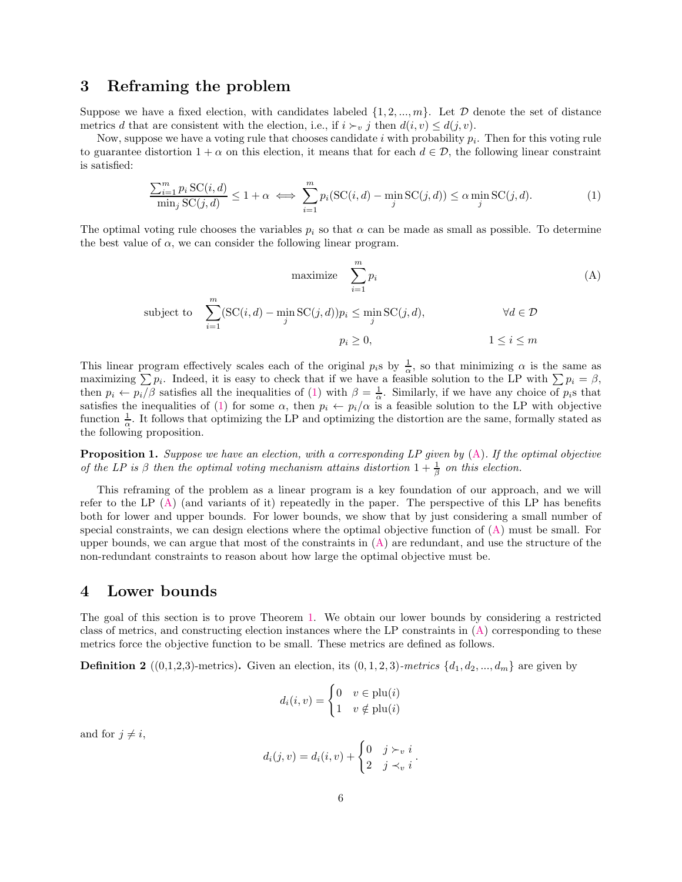### <span id="page-5-0"></span>3 Reframing the problem

Suppose we have a fixed election, with candidates labeled  $\{1, 2, ..., m\}$ . Let D denote the set of distance metrics d that are consistent with the election, i.e., if  $i \succ_v j$  then  $d(i, v) \leq d(j, v)$ .

Now, suppose we have a voting rule that chooses candidate i with probability  $p_i$ . Then for this voting rule to guarantee distortion  $1 + \alpha$  on this election, it means that for each  $d \in \mathcal{D}$ , the following linear constraint is satisfied:

<span id="page-5-1"></span>
$$
\frac{\sum_{i=1}^{m} p_i \operatorname{SC}(i,d)}{\min_j \operatorname{SC}(j,d)} \le 1 + \alpha \iff \sum_{i=1}^{m} p_i(\operatorname{SC}(i,d) - \min_j \operatorname{SC}(j,d)) \le \alpha \min_j \operatorname{SC}(j,d). \tag{1}
$$

The optimal voting rule chooses the variables  $p_i$  so that  $\alpha$  can be made as small as possible. To determine the best value of  $\alpha$ , we can consider the following linear program.

<span id="page-5-2"></span>
$$
\text{maximize} \quad \sum_{i=1}^{m} p_i \tag{A}
$$

subject to 
$$
\sum_{i=1}^{m} (\mathrm{SC}(i, d) - \min_{j} \mathrm{SC}(j, d)) p_i \leq \min_{j} \mathrm{SC}(j, d), \qquad \forall d \in \mathcal{D}
$$

$$
p_i \geq 0, \qquad 1 \leq i \leq m
$$

This linear program effectively scales each of the original  $p_i$ s by  $\frac{1}{\alpha}$ , so that minimizing  $\alpha$  is the same as maximizing  $\sum p_i$ . Indeed, it is easy to check that if we have a feasible solution to the LP with  $\sum p_i = \beta$ , then  $p_i \leftarrow p_i/\beta$  satisfies all the inequalities of [\(1\)](#page-5-1) with  $\beta = \frac{1}{\alpha}$ . Similarly, if we have any choice of  $p_i$ s that satisfies the inequalities of [\(1\)](#page-5-1) for some  $\alpha$ , then  $p_i \leftarrow p_i/\alpha$  is a feasible solution to the LP with objective function  $\frac{1}{\alpha}$ . It follows that optimizing the LP and optimizing the distortion are the same, formally stated as the following proposition.

<span id="page-5-3"></span>Proposition 1. *Suppose we have an election, with a corresponding LP given by* [\(A\)](#page-5-2)*. If the optimal objective of the LP is*  $\beta$  *then the optimal voting mechanism attains distortion*  $1 + \frac{1}{\beta}$  *on this election.* 

This reframing of the problem as a linear program is a key foundation of our approach, and we will refer to the LP [\(A\)](#page-5-2) (and variants of it) repeatedly in the paper. The perspective of this LP has benefits both for lower and upper bounds. For lower bounds, we show that by just considering a small number of special constraints, we can design elections where the optimal objective function of [\(A\)](#page-5-2) must be small. For upper bounds, we can argue that most of the constraints in  $(A)$  are redundant, and use the structure of the non-redundant constraints to reason about how large the optimal objective must be.

### <span id="page-5-4"></span>4 Lower bounds

The goal of this section is to prove Theorem [1.](#page-2-1) We obtain our lower bounds by considering a restricted class of metrics, and constructing election instances where the LP constraints in [\(A\)](#page-5-2) corresponding to these metrics force the objective function to be small. These metrics are defined as follows.

**Definition 2** ((0,1,2,3)-metrics). Given an election, its  $(0,1,2,3)$ -metrics  $\{d_1, d_2, ..., d_m\}$  are given by

$$
d_i(i, v) = \begin{cases} 0 & v \in \text{plu}(i) \\ 1 & v \notin \text{plu}(i) \end{cases}
$$

and for  $j \neq i$ ,

$$
d_i(j, v) = d_i(i, v) + \begin{cases} 0 & j \succ_v i \\ 2 & j \prec_v i \end{cases}.
$$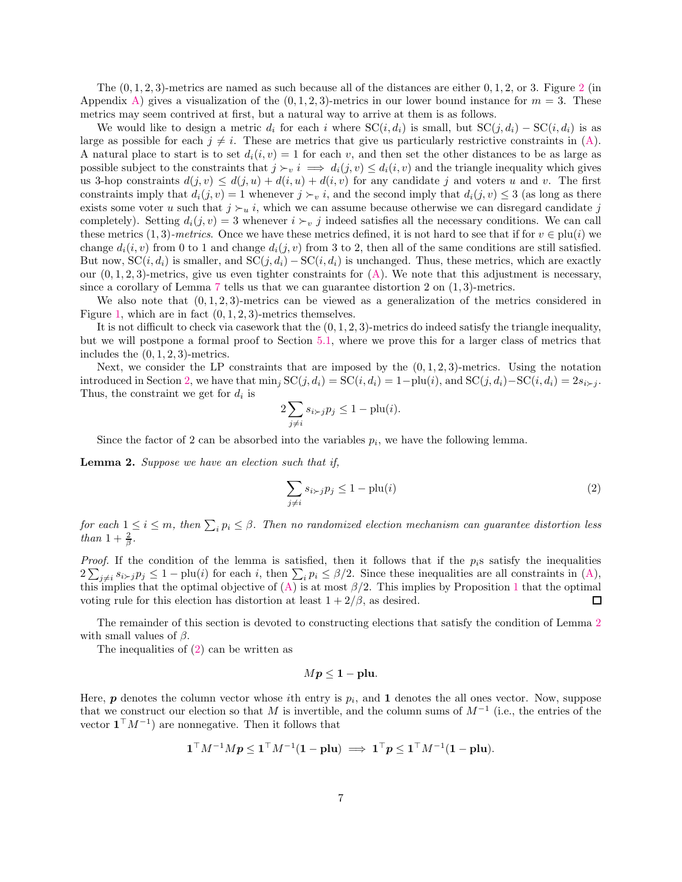The  $(0, 1, 2, 3)$  $(0, 1, 2, 3)$  $(0, 1, 2, 3)$ -metrics are named as such because all of the distances are either  $(0, 1, 2, 0, 0, 3)$ . Figure 2 (in Appendix [A\)](#page-20-1) gives a visualization of the  $(0, 1, 2, 3)$ -metrics in our lower bound instance for  $m = 3$ . These metrics may seem contrived at first, but a natural way to arrive at them is as follows.

We would like to design a metric  $d_i$  for each i where  $SC(i, d_i)$  is small, but  $SC(j, d_i) - SC(i, d_i)$  is as large as possible for each  $j \neq i$ . These are metrics that give us particularly restrictive constraints in [\(A\)](#page-5-2). A natural place to start is to set  $d_i(i, v) = 1$  for each v, and then set the other distances to be as large as possible subject to the constraints that  $j \succ_v i \implies d_i(j, v) \leq d_i(i, v)$  and the triangle inequality which gives us 3-hop constraints  $d(j, v) \leq d(j, u) + d(i, u) + d(i, v)$  for any candidate j and voters u and v. The first constraints imply that  $d_i(j, v) = 1$  whenever  $j \succ v$ , and the second imply that  $d_i(j, v) \leq 3$  (as long as there exists some voter u such that  $j \succ_u i$ , which we can assume because otherwise we can disregard candidate j completely). Setting  $d_i(j, v) = 3$  whenever  $i \succ_v j$  indeed satisfies all the necessary conditions. We can call these metrics  $(1,3)$ *-metrics*. Once we have these metrics defined, it is not hard to see that if for  $v \in \text{plu}(i)$  we change  $d_i(i, v)$  from 0 to 1 and change  $d_i(j, v)$  from 3 to 2, then all of the same conditions are still satisfied. But now,  $SC(i, d_i)$  is smaller, and  $SC(j, d_i) - SC(i, d_i)$  is unchanged. Thus, these metrics, which are exactly our  $(0, 1, 2, 3)$ -metrics, give us even tighter constraints for  $(A)$ . We note that this adjustment is necessary, since a corollary of Lemma [7](#page-16-0) tells us that we can guarantee distortion 2 on  $(1, 3)$ -metrics.

We also note that  $(0, 1, 2, 3)$ -metrics can be viewed as a generalization of the metrics considered in Figure [1,](#page-2-0) which are in fact  $(0, 1, 2, 3)$ -metrics themselves.

It is not difficult to check via casework that the  $(0, 1, 2, 3)$ -metrics do indeed satisfy the triangle inequality, but we will postpone a formal proof to Section [5.1,](#page-9-1) where we prove this for a larger class of metrics that includes the  $(0, 1, 2, 3)$ -metrics.

Next, we consider the LP constraints that are imposed by the  $(0, 1, 2, 3)$ -metrics. Using the notation introduced in Section [2,](#page-3-1) we have that  $\min_j \text{SC}(j, d_i) = \text{SC}(i, d_i) = 1 - \text{plu}(i)$ , and  $\text{SC}(j, d_i) - \text{SC}(i, d_i) = 2s_i \times j$ . Thus, the constraint we get for  $d_i$  is

$$
2\sum_{j\neq i}s_{i\succ j}p_j\leq 1-\text{plu}(i).
$$

<span id="page-6-0"></span>Since the factor of 2 can be absorbed into the variables  $p_i$ , we have the following lemma.

Lemma 2. *Suppose we have an election such that if,*

<span id="page-6-1"></span>
$$
\sum_{j \neq i} s_{i \succ j} p_j \le 1 - \text{plu}(i) \tag{2}
$$

*for each*  $1 \leq i \leq m$ , then  $\sum_i p_i \leq \beta$ . Then no randomized election mechanism can guarantee distortion less *than*  $1 + \frac{2}{\beta}$ .

*Proof.* If the condition of the lemma is satisfied, then it follows that if the  $p_i$ s satisfy the inequalities  $2\sum_{j\neq i} s_{i\succ j}p_j \leq 1-\text{plu}(i)$  for each i, then  $\sum_i p_i \leq \beta/2$ . Since these inequalities are all constraints in  $(A)$ , this implies that the optimal objective of  $(A)$  is at most  $\beta/2$ . This implies by Proposition [1](#page-5-3) that the optimal voting rule for this election has distortion at least  $1 + 2/\beta$ , as desired.  $\Box$ 

The remainder of this section is devoted to constructing elections that satisfy the condition of Lemma [2](#page-6-0) with small values of  $\beta$ .

The inequalities of [\(2\)](#page-6-1) can be written as

$$
Mp\leq 1-\text{plu}.
$$

Here,  $p$  denotes the column vector whose *i*th entry is  $p_i$ , and 1 denotes the all ones vector. Now, suppose that we construct our election so that M is invertible, and the column sums of  $M^{-1}$  (i.e., the entries of the vector  $\mathbf{1}^\top M^{-1}$  are nonnegative. Then it follows that

$$
\mathbf{1}^\top M^{-1} M p \leq \mathbf{1}^\top M^{-1} (\mathbf{1} - \mathbf{p} \mathbf{l} \mathbf{u}) \implies \mathbf{1}^\top p \leq \mathbf{1}^\top M^{-1} (\mathbf{1} - \mathbf{p} \mathbf{l} \mathbf{u}).
$$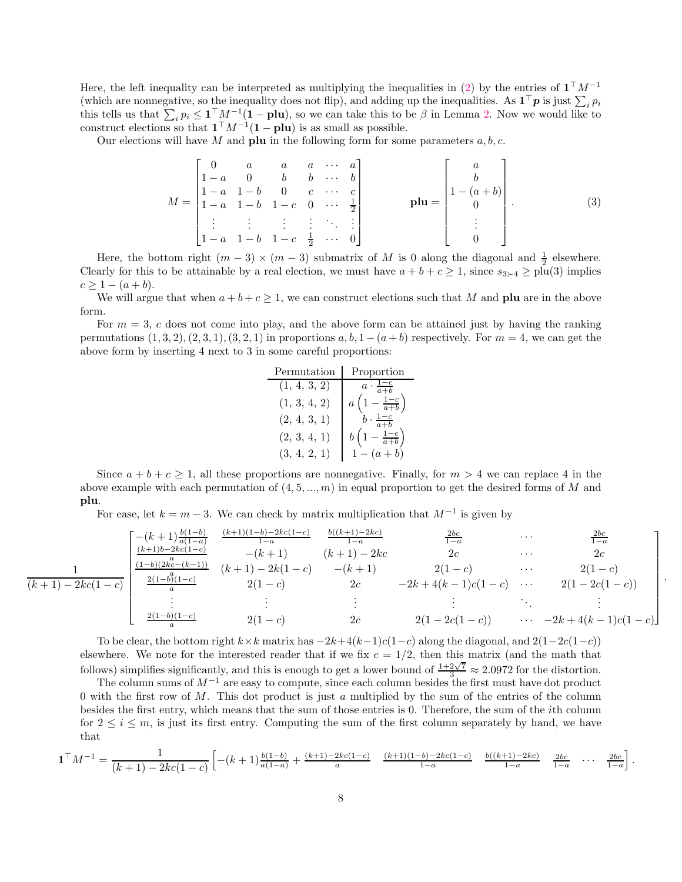Here, the left inequality can be interpreted as multiplying the inequalities in [\(2\)](#page-6-1) by the entries of  $\mathbf{1}^\top M^{-1}$ (which are nonnegative, so the inequality does not flip), and adding up the inequalities. As  $\mathbf{1}^\top \boldsymbol{p}$  is just  $\sum_i p_i$ this tells us that  $\sum_i p_i \leq \mathbf{1}^\top M^{-1}(\mathbf{1}-\mathbf{plu})$ , so we can take this to be  $\beta$  in Lemma [2.](#page-6-0) Now we would like to construct elections so that  $\mathbf{1}^\top M^{-1}(\mathbf{1}-\mathbf{plu})$  is as small as possible.

Our elections will have M and **plu** in the following form for some parameters  $a, b, c$ .

<span id="page-7-0"></span>
$$
M = \begin{bmatrix} 0 & a & a & a & \cdots & a \\ 1-a & 0 & b & b & \cdots & b \\ 1-a & 1-b & 0 & c & \cdots & c \\ 1-a & 1-b & 1-c & 0 & \cdots & \frac{1}{2} \\ \vdots & \vdots & \vdots & \vdots & \ddots & \vdots \\ 1-a & 1-b & 1-c & \frac{1}{2} & \cdots & 0 \end{bmatrix} \qquad \mathbf{plu} = \begin{bmatrix} a \\ b \\ 1-(a+b) \\ 0 \\ \vdots \\ 0 \end{bmatrix} . \tag{3}
$$

Here, the bottom right  $(m-3) \times (m-3)$  submatrix of M is 0 along the diagonal and  $\frac{1}{2}$  elsewhere. Clearly for this to be attainable by a real election, we must have  $a + b + c \ge 1$ , since  $s_{3>4} \ge \text{plu}(3)$  implies  $c > 1 - (a + b).$ 

We will argue that when  $a + b + c \geq 1$ , we can construct elections such that M and plu are in the above form.

For  $m = 3$ , c does not come into play, and the above form can be attained just by having the ranking permutations  $(1, 3, 2), (2, 3, 1), (3, 2, 1)$  in proportions  $a, b, 1 - (a + b)$  respectively. For  $m = 4$ , we can get the above form by inserting 4 next to 3 in some careful proportions:

| Permutation  | Proportion                        |
|--------------|-----------------------------------|
| (1, 4, 3, 2) | $a \cdot \frac{1-c}{a+b}$         |
| (1, 3, 4, 2) | $a\left(1-\frac{1-c}{a+b}\right)$ |
| (2, 4, 3, 1) | $\frac{1-c}{a+b}$                 |
| (2, 3, 4, 1) | $b\left(1-\frac{1-c}{a+b}\right)$ |
| (3, 4, 2, 1) | $1 - (a + b)$                     |

Since  $a + b + c \ge 1$ , all these proportions are nonnegative. Finally, for  $m > 4$  we can replace 4 in the above example with each permutation of  $(4, 5, ..., m)$  in equal proportion to get the desired forms of M and plu.

For ease, let  $k = m - 3$ . We can check by matrix multiplication that  $M^{-1}$  is given by

$$
\frac{1}{(k+1)-2kc(1-c)} \begin{bmatrix} -(k+1)\frac{b(1-b)}{a(1-a)} & \frac{(k+1)(1-b)-2kc(1-c)}{1-a} & \frac{b((k+1)-2kc)}{1-a} & \frac{2bc}{1-a} & \cdots & \frac{2bc}{1-a} \\ \frac{(k+1)b-2kc(1-c)}{1-b)(2kc-(k-1))} & -(k+1) & (k+1)-2kc & 2c & \cdots & 2c \\ \frac{(1-b)(2kc-(k-1))}{a} & (k+1)-2k(1-c) & -(k+1) & 2(1-c) & \cdots & 2(1-c) \\ \vdots & \vdots & \vdots & \ddots & \vdots & \vdots \\ \frac{2(1-b)(1-c)}{a} & 2(1-c) & 2c & 2(1-2c(1-c)) & \cdots & -2k+4(k-1)c(1-c) \end{bmatrix}
$$

.

To be clear, the bottom right  $k \times k$  matrix has  $-2k+4(k-1)c(1-c)$  along the diagonal, and  $2(1-2c(1-c))$ elsewhere. We note for the interested reader that if we fix  $c = 1/2$ , then this matrix (and the math that follows) simplifies significantly, and this is enough to get a lower bound of  $\frac{1+2\sqrt{7}}{3} \approx 2.0972$  for the distortion.

The column sums of  $M^{-1}$  are easy to compute, since each column besides the first must have dot product 0 with the first row of M. This dot product is just a multiplied by the sum of the entries of the column besides the first entry, which means that the sum of those entries is 0. Therefore, the sum of the ith column for  $2 \leq i \leq m$ , is just its first entry. Computing the sum of the first column separately by hand, we have that

$$
\mathbf{1}^{\top} M^{-1} = \frac{1}{(k+1) - 2kc(1-c)} \left[ -(k+1)\frac{b(1-b)}{a(1-a)} + \frac{(k+1)-2kc(1-c)}{a} \frac{(k+1)(1-b)-2kc(1-c)}{1-a} \frac{b((k+1)-2kc)}{1-a} \frac{2bc}{1-a} \cdots \frac{2bc}{1-a} \right].
$$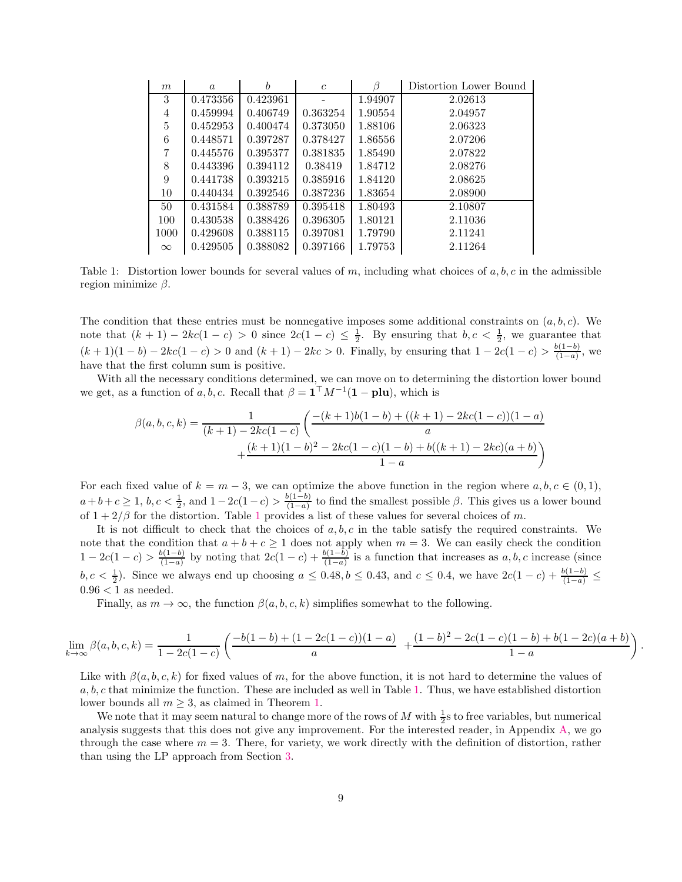<span id="page-8-0"></span>

| m        | $\alpha$ | h        | $\mathfrak c$ | B       | Distortion Lower Bound |
|----------|----------|----------|---------------|---------|------------------------|
| 3        | 0.473356 | 0.423961 |               | 1.94907 | 2.02613                |
| 4        | 0.459994 | 0.406749 | 0.363254      | 1.90554 | 2.04957                |
| 5        | 0.452953 | 0.400474 | 0.373050      | 1.88106 | 2.06323                |
| 6        | 0.448571 | 0.397287 | 0.378427      | 1.86556 | 2.07206                |
| 7        | 0.445576 | 0.395377 | 0.381835      | 1.85490 | 2.07822                |
| 8        | 0.443396 | 0.394112 | 0.38419       | 1.84712 | 2.08276                |
| 9        | 0.441738 | 0.393215 | 0.385916      | 1.84120 | 2.08625                |
| 10       | 0.440434 | 0.392546 | 0.387236      | 1.83654 | 2.08900                |
| 50       | 0.431584 | 0.388789 | 0.395418      | 1.80493 | 2.10807                |
| 100      | 0.430538 | 0.388426 | 0.396305      | 1.80121 | 2.11036                |
| 1000     | 0.429608 | 0.388115 | 0.397081      | 1.79790 | 2.11241                |
| $\infty$ | 0.429505 | 0.388082 | 0.397166      | 1.79753 | 2.11264                |

Table 1: Distortion lower bounds for several values of m, including what choices of  $a, b, c$  in the admissible region minimize  $\beta$ .

The condition that these entries must be nonnegative imposes some additional constraints on  $(a, b, c)$ . We note that  $(k + 1) - 2kc(1 - c) > 0$  since  $2c(1 - c) \leq \frac{1}{2}$ . By ensuring that  $b, c < \frac{1}{2}$ , we guarantee that  $(k+1)(1-b) - 2kc(1-c) > 0$  and  $(k+1) - 2kc > 0$ . Finally, by ensuring that  $1 - 2c(1-c) > \frac{b(1-b)}{(1-a)}$  $\frac{b(1-b)}{(1-a)}$ , we have that the first column sum is positive.

With all the necessary conditions determined, we can move on to determining the distortion lower bound we get, as a function of a, b, c. Recall that  $\beta = \mathbf{1}^\top M^{-1}(\mathbf{1} - \mathbf{plu})$ , which is

$$
\beta(a, b, c, k) = \frac{1}{(k+1) - 2kc(1-c)} \left( \frac{-(k+1)b(1-b) + ((k+1) - 2kc(1-c))(1-a)}{a} + \frac{(k+1)(1-b)^2 - 2kc(1-c)(1-b) + b((k+1) - 2kc)(a+b)}{1-a} \right)
$$

For each fixed value of  $k = m - 3$ , we can optimize the above function in the region where  $a, b, c \in (0, 1)$ ,  $a+b+c \geq 1, b, c < \frac{1}{2}$ , and  $1-2c(1-c) > \frac{b(1-b)}{(1-a)}$  $\frac{(\lambda(1-a))}{(1-a)}$  to find the smallest possible  $\beta$ . This gives us a lower bound of  $1 + 2/\beta$  $1 + 2/\beta$  for the distortion. Table 1 provides a list of these values for several choices of m.

It is not difficult to check that the choices of  $a, b, c$  in the table satisfy the required constraints. We note that the condition that  $a + b + c \ge 1$  does not apply when  $m = 3$ . We can easily check the condition  $1-2c(1-c) > \frac{b(1-b)}{(1-a)}$  $\frac{b(1-b)}{(1-a)}$  by noting that  $2c(1-c) + \frac{b(1-b)}{(1-a)}$  is a function that increases as a, b, c increase (since  $b, c < \frac{1}{2}$ ). Since we always end up choosing  $a \le 0.48, b \le 0.43$ , and  $c \le 0.4$ , we have  $2c(1-c) + \frac{b(1-b)}{(1-a)} \le$  $0.96 < 1$  as needed.

Finally, as  $m \to \infty$ , the function  $\beta(a, b, c, k)$  simplifies somewhat to the following.

$$
\lim_{k \to \infty} \beta(a, b, c, k) = \frac{1}{1 - 2c(1 - c)} \left( \frac{-b(1 - b) + (1 - 2c(1 - c))(1 - a)}{a} + \frac{(1 - b)^2 - 2c(1 - c)(1 - b) + b(1 - 2c)(a + b)}{1 - a} \right).
$$

Like with  $\beta(a, b, c, k)$  for fixed values of m, for the above function, it is not hard to determine the values of  $a, b, c$  that minimize the function. These are included as well in Table [1.](#page-8-0) Thus, we have established distortion lower bounds all  $m \geq 3$ , as claimed in Theorem [1.](#page-2-1)

We note that it may seem natural to change more of the rows of  $M$  with  $\frac{1}{2}$ s to free variables, but numerical analysis suggests that this does not give any improvement. For the interested reader, in Appendix [A,](#page-20-1) we go through the case where  $m = 3$ . There, for variety, we work directly with the definition of distortion, rather than using the LP approach from Section [3.](#page-5-0)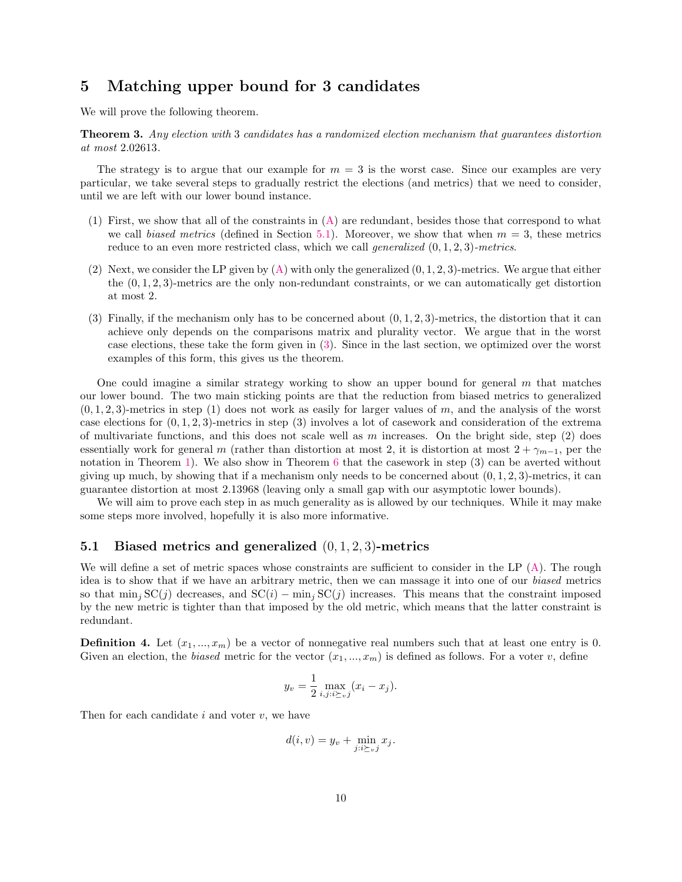## <span id="page-9-0"></span>5 Matching upper bound for 3 candidates

We will prove the following theorem.

Theorem 3. *Any election with* 3 *candidates has a randomized election mechanism that guarantees distortion at most* 2.02613*.*

The strategy is to argue that our example for  $m = 3$  is the worst case. Since our examples are very particular, we take several steps to gradually restrict the elections (and metrics) that we need to consider, until we are left with our lower bound instance.

- (1) First, we show that all of the constraints in [\(A\)](#page-5-2) are redundant, besides those that correspond to what we call *biased metrics* (defined in Section [5.1\)](#page-9-1). Moreover, we show that when  $m = 3$ , these metrics reduce to an even more restricted class, which we call *generalized* (0, 1, 2, 3)*-metrics*.
- (2) Next, we consider the LP given by  $(A)$  with only the generalized  $(0, 1, 2, 3)$ -metrics. We argue that either the  $(0, 1, 2, 3)$ -metrics are the only non-redundant constraints, or we can automatically get distortion at most 2.
- (3) Finally, if the mechanism only has to be concerned about  $(0, 1, 2, 3)$ -metrics, the distortion that it can achieve only depends on the comparisons matrix and plurality vector. We argue that in the worst case elections, these take the form given in [\(3\)](#page-7-0). Since in the last section, we optimized over the worst examples of this form, this gives us the theorem.

One could imagine a similar strategy working to show an upper bound for general  $m$  that matches our lower bound. The two main sticking points are that the reduction from biased metrics to generalized  $(0, 1, 2, 3)$ -metrics in step (1) does not work as easily for larger values of m, and the analysis of the worst case elections for  $(0, 1, 2, 3)$ -metrics in step (3) involves a lot of casework and consideration of the extrema of multivariate functions, and this does not scale well as m increases. On the bright side, step  $(2)$  does essentially work for general m (rather than distortion at most 2, it is distortion at most  $2 + \gamma_{m-1}$ , per the notation in Theorem [1\)](#page-2-1). We also show in Theorem [6](#page-15-1) that the casework in step (3) can be averted without giving up much, by showing that if a mechanism only needs to be concerned about  $(0, 1, 2, 3)$ -metrics, it can guarantee distortion at most 2.13968 (leaving only a small gap with our asymptotic lower bounds).

We will aim to prove each step in as much generality as is allowed by our techniques. While it may make some steps more involved, hopefully it is also more informative.

#### <span id="page-9-1"></span>5.1 Biased metrics and generalized (0, <sup>1</sup>, <sup>2</sup>, 3)-metrics

We will define a set of metric spaces whose constraints are sufficient to consider in the LP  $(A)$ . The rough idea is to show that if we have an arbitrary metric, then we can massage it into one of our *biased* metrics so that  $\min_j \text{SC}(j)$  decreases, and  $\text{SC}(i)$  –  $\min_j \text{SC}(j)$  increases. This means that the constraint imposed by the new metric is tighter than that imposed by the old metric, which means that the latter constraint is redundant.

**Definition 4.** Let  $(x_1, ..., x_m)$  be a vector of nonnegative real numbers such that at least one entry is 0. Given an election, the *biased* metric for the vector  $(x_1, ..., x_m)$  is defined as follows. For a voter v, define

$$
y_v = \frac{1}{2} \max_{i,j:i \succeq_v j} (x_i - x_j).
$$

Then for each candidate  $i$  and voter  $v$ , we have

$$
d(i, v) = y_v + \min_{j : i \succeq_v j} x_j.
$$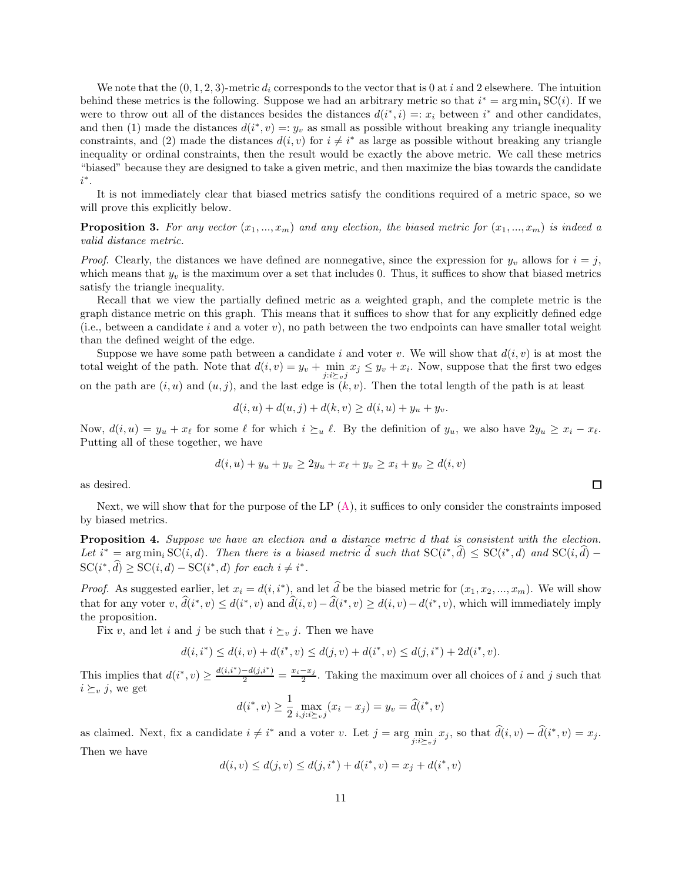We note that the  $(0, 1, 2, 3)$ -metric  $d_i$  corresponds to the vector that is 0 at i and 2 elsewhere. The intuition behind these metrics is the following. Suppose we had an arbitrary metric so that  $i^* = \arg \min_i SC(i)$ . If we were to throw out all of the distances besides the distances  $d(i^*, i) = x_i$  between  $i^*$  and other candidates, and then (1) made the distances  $d(i^*, v) =: y_v$  as small as possible without breaking any triangle inequality constraints, and (2) made the distances  $d(i, v)$  for  $i \neq i^*$  as large as possible without breaking any triangle inequality or ordinal constraints, then the result would be exactly the above metric. We call these metrics "biased" because they are designed to take a given metric, and then maximize the bias towards the candidate i ∗ .

It is not immediately clear that biased metrics satisfy the conditions required of a metric space, so we will prove this explicitly below.

**Proposition 3.** For any vector  $(x_1, ..., x_m)$  and any election, the biased metric for  $(x_1, ..., x_m)$  is indeed a *valid distance metric.*

*Proof.* Clearly, the distances we have defined are nonnegative, since the expression for  $y_v$  allows for  $i = j$ , which means that  $y_v$  is the maximum over a set that includes 0. Thus, it suffices to show that biased metrics satisfy the triangle inequality.

Recall that we view the partially defined metric as a weighted graph, and the complete metric is the graph distance metric on this graph. This means that it suffices to show that for any explicitly defined edge (i.e., between a candidate i and a voter  $v$ ), no path between the two endpoints can have smaller total weight than the defined weight of the edge.

Suppose we have some path between a candidate i and voter v. We will show that  $d(i, v)$  is at most the total weight of the path. Note that  $d(i, v) = y_v + \min_{j:i \succeq_{v} j} x_j \leq y_v + x_i$ . Now, suppose that the first two edges on the path are  $(i, u)$  and  $(u, j)$ , and the last edge is  $(k, v)$ . Then the total length of the path is at least

$$
d(i, u) + d(u, j) + d(k, v) \ge d(i, u) + y_u + y_v.
$$

Now,  $d(i, u) = y_u + x_\ell$  for some  $\ell$  for which  $i \succeq_u \ell$ . By the definition of  $y_u$ , we also have  $2y_u \geq x_i - x_\ell$ . Putting all of these together, we have

$$
d(i, u) + y_u + y_v \ge 2y_u + x_{\ell} + y_v \ge x_i + y_v \ge d(i, v)
$$

as desired.

<span id="page-10-0"></span>Next, we will show that for the purpose of the LP  $(A)$ , it suffices to only consider the constraints imposed by biased metrics.

Proposition 4. *Suppose we have an election and a distance metric* d *that is consistent with the election.* Let  $i^* = \arg \min_i \mathrm{SC}(i, d)$ . Then there is a biased metric d such that  $\mathrm{SC}(i^*, d) \leq \mathrm{SC}(i^*, d)$  and  $\mathrm{SC}(i, d)$  –  $\mathrm{SC}(i^*, d) \geq \mathrm{SC}(i, d) - \mathrm{SC}(i^*, d)$  *for each*  $i \neq i^*.$ 

*Proof.* As suggested earlier, let  $x_i = d(i, i^*)$ , and let d be the biased metric for  $(x_1, x_2, ..., x_m)$ . We will show that for any voter  $v, d(i^*, v) \leq d(i^*, v)$  and  $d(i, v) - d(i^*, v) \geq d(i, v) - d(i^*, v)$ , which will immediately imply the proposition.

Fix v, and let i and j be such that  $i \succeq_v j$ . Then we have

$$
d(i, i^*) \le d(i, v) + d(i^*, v) \le d(j, v) + d(i^*, v) \le d(j, i^*) + 2d(i^*, v).
$$

This implies that  $d(i^*, v) \ge \frac{d(i, i^*) - d(j, i^*)}{2} = \frac{x_i - x_j}{2}$ . Taking the maximum over all choices of i and j such that  $i \succeq_v j$ , we get

$$
d(i^*, v) \ge \frac{1}{2} \max_{i, j : i \succeq v} (x_i - x_j) = y_v = \hat{d}(i^*, v)
$$

as claimed. Next, fix a candidate  $i \neq i^*$  and a voter v. Let  $j = \arg\min_{j:i \succeq_{v} j} x_j$ , so that  $d(i, v) - d(i^*, v) = x_j$ . Then we have

$$
d(i, v) \le d(j, v) \le d(j, i^*) + d(i^*, v) = x_j + d(i^*, v)
$$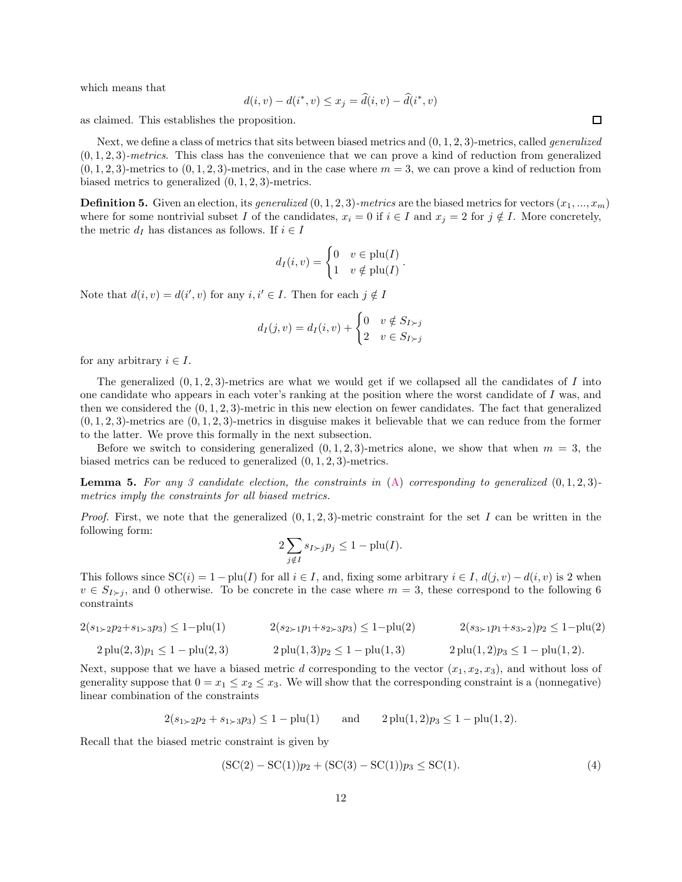which means that

$$
d(i, v) - d(i^*, v) \le x_j = d(i, v) - d(i^*, v)
$$

as claimed. This establishes the proposition.

Next, we define a class of metrics that sits between biased metrics and (0, 1, 2, 3)-metrics, called *generalized* (0, 1, 2, 3)*-metrics*. This class has the convenience that we can prove a kind of reduction from generalized  $(0, 1, 2, 3)$ -metrics to  $(0, 1, 2, 3)$ -metrics, and in the case where  $m = 3$ , we can prove a kind of reduction from biased metrics to generalized (0, 1, 2, 3)-metrics.

**Definition 5.** Given an election, its *generalized*  $(0, 1, 2, 3)$ *-metrics* are the biased metrics for vectors  $(x_1, ..., x_m)$ where for some nontrivial subset I of the candidates,  $x_i = 0$  if  $i \in I$  and  $x_j = 2$  for  $j \notin I$ . More concretely, the metric  $d_I$  has distances as follows. If  $i \in I$ 

$$
d_I(i, v) = \begin{cases} 0 & v \in \text{plu}(I) \\ 1 & v \notin \text{plu}(I) \end{cases}.
$$

Note that  $d(i, v) = d(i', v)$  for any  $i, i' \in I$ . Then for each  $j \notin I$ 

$$
d_I(j, v) = d_I(i, v) + \begin{cases} 0 & v \notin S_{I \succ j} \\ 2 & v \in S_{I \succ j} \end{cases}
$$

for any arbitrary  $i \in I$ .

The generalized  $(0, 1, 2, 3)$ -metrics are what we would get if we collapsed all the candidates of I into one candidate who appears in each voter's ranking at the position where the worst candidate of I was, and then we considered the  $(0, 1, 2, 3)$ -metric in this new election on fewer candidates. The fact that generalized  $(0, 1, 2, 3)$ -metrics are  $(0, 1, 2, 3)$ -metrics in disguise makes it believable that we can reduce from the former to the latter. We prove this formally in the next subsection.

<span id="page-11-1"></span>Before we switch to considering generalized  $(0, 1, 2, 3)$ -metrics alone, we show that when  $m = 3$ , the biased metrics can be reduced to generalized (0, 1, 2, 3)-metrics.

Lemma 5. *For any 3 candidate election, the constraints in* [\(A\)](#page-5-2) *corresponding to generalized* (0, 1, 2, 3) *metrics imply the constraints for all biased metrics.*

*Proof.* First, we note that the generalized  $(0, 1, 2, 3)$ -metric constraint for the set I can be written in the following form:

$$
2\sum_{j\notin I} s_{I\succ j} p_j \le 1 - \text{plu}(I).
$$

This follows since  $SC(i) = 1 - plu(I)$  for all  $i \in I$ , and, fixing some arbitrary  $i \in I$ ,  $d(j, v) - d(i, v)$  is 2 when  $v \in S_{I\succ j}$ , and 0 otherwise. To be concrete in the case where  $m=3$ , these correspond to the following 6 constraints

$$
2(s_{1\succ 2}p_2 + s_{1\succ 3}p_3) \le 1 - \text{plu}(1) \qquad 2(s_{2\succ 1}p_1 + s_{2\succ 3}p_3) \le 1 - \text{plu}(2) \qquad 2(s_{3\succ 1}p_1 + s_{3\succ 2})p_2 \le 1 - \text{plu}(2)
$$
  

$$
2 \text{plu}(2,3)p_1 \le 1 - \text{plu}(2,3) \qquad 2 \text{plu}(1,3)p_2 \le 1 - \text{plu}(1,3) \qquad 2 \text{plu}(1,2)p_3 \le 1 - \text{plu}(1,2).
$$

Next, suppose that we have a biased metric d corresponding to the vector  $(x_1, x_2, x_3)$ , and without loss of generality suppose that  $0 = x_1 \le x_2 \le x_3$ . We will show that the corresponding constraint is a (nonnegative) linear combination of the constraints

$$
2(s_{1 \succ 2}p_2 + s_{1 \succ 3}p_3) \le 1 - \text{plu}(1)
$$
 and  $2 \text{plu}(1,2)p_3 \le 1 - \text{plu}(1,2)$ .

Recall that the biased metric constraint is given by

<span id="page-11-0"></span>
$$
(SC(2) – SC(1))p2 + (SC(3) – SC(1))p3 \le SC(1).
$$
\n(4)

 $\Box$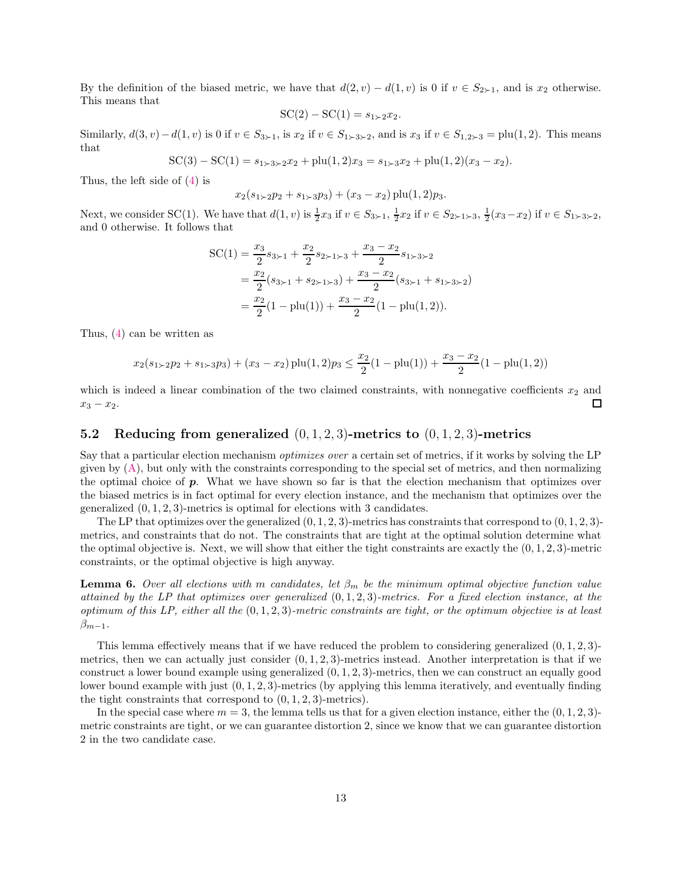By the definition of the biased metric, we have that  $d(2, v) - d(1, v)$  is 0 if  $v \in S_{2\succ 1}$ , and is  $x_2$  otherwise. This means that

$$
SC(2) - SC(1) = s_{1 \succ 2} x_2.
$$

Similarly,  $d(3, v)-d(1, v)$  is 0 if  $v \in S_{3\succ 1}$ , is  $x_2$  if  $v \in S_{1\succ 3\succ 2}$ , and is  $x_3$  if  $v \in S_{1,2\succ 3} = \text{plu}(1, 2)$ . This means that

 $SC(3) - SC(1) = s_{1 \ge 3 \ge 2}x_2 + plu(1,2)x_3 = s_{1 \ge 3}x_2 + plu(1,2)(x_3 - x_2).$ 

Thus, the left side of [\(4\)](#page-11-0) is

$$
x_2(s_{1\times 2}p_2 + s_{1\times 3}p_3) + (x_3 - x_2) \operatorname{plu}(1,2)p_3.
$$

Next, we consider SC(1). We have that  $d(1, v)$  is  $\frac{1}{2}x_3$  if  $v \in S_{3 \succ 1}$ ,  $\frac{1}{2}x_2$  if  $v \in S_{2 \succ 1 \succ 3}$ ,  $\frac{1}{2}(x_3 - x_2)$  if  $v \in S_{1 \succ 3 \succ 2}$ , and 0 otherwise. It follows that

$$
SC(1) = \frac{x_3}{2}s_{3 \succ 1} + \frac{x_2}{2}s_{2 \succ 1 \succ 3} + \frac{x_3 - x_2}{2}s_{1 \succ 3 \succ 2}
$$
  
=  $\frac{x_2}{2}(s_{3 \succ 1} + s_{2 \succ 1 \succ 3}) + \frac{x_3 - x_2}{2}(s_{3 \succ 1} + s_{1 \succ 3 \succ 2})$   
=  $\frac{x_2}{2}(1 - \text{plu}(1)) + \frac{x_3 - x_2}{2}(1 - \text{plu}(1, 2)).$ 

Thus, [\(4\)](#page-11-0) can be written as

$$
x_2(s_{1\times 2}p_2 + s_{1\times 3}p_3) + (x_3 - x_2) \text{ plu}(1,2)p_3 \le \frac{x_2}{2}(1 - \text{plu}(1)) + \frac{x_3 - x_2}{2}(1 - \text{plu}(1,2))
$$

which is indeed a linear combination of the two claimed constraints, with nonnegative coefficients  $x_2$  and  $\square$  $x_3 - x_2$ .

### <span id="page-12-1"></span>5.2 Reducing from generalized  $(0, 1, 2, 3)$ -metrics to  $(0, 1, 2, 3)$ -metrics

Say that a particular election mechanism *optimizes over* a certain set of metrics, if it works by solving the LP given by  $(A)$ , but only with the constraints corresponding to the special set of metrics, and then normalizing the optimal choice of p. What we have shown so far is that the election mechanism that optimizes over the biased metrics is in fact optimal for every election instance, and the mechanism that optimizes over the generalized  $(0, 1, 2, 3)$ -metrics is optimal for elections with 3 candidates.

The LP that optimizes over the generalized  $(0, 1, 2, 3)$ -metrics has constraints that correspond to  $(0, 1, 2, 3)$ metrics, and constraints that do not. The constraints that are tight at the optimal solution determine what the optimal objective is. Next, we will show that either the tight constraints are exactly the  $(0, 1, 2, 3)$ -metric constraints, or the optimal objective is high anyway.

<span id="page-12-0"></span>**Lemma 6.** Over all elections with m candidates, let  $\beta_m$  be the minimum optimal objective function value *attained by the LP that optimizes over generalized* (0, 1, 2, 3)*-metrics. For a fixed election instance, at the optimum of this LP, either all the* (0, 1, 2, 3)*-metric constraints are tight, or the optimum objective is at least*  $\beta_{m-1}$ *.* 

This lemma effectively means that if we have reduced the problem to considering generalized  $(0, 1, 2, 3)$ metrics, then we can actually just consider  $(0, 1, 2, 3)$ -metrics instead. Another interpretation is that if we construct a lower bound example using generalized  $(0, 1, 2, 3)$ -metrics, then we can construct an equally good lower bound example with just (0, 1, 2, 3)-metrics (by applying this lemma iteratively, and eventually finding the tight constraints that correspond to  $(0, 1, 2, 3)$ -metrics).

In the special case where  $m = 3$ , the lemma tells us that for a given election instance, either the  $(0, 1, 2, 3)$ metric constraints are tight, or we can guarantee distortion 2, since we know that we can guarantee distortion 2 in the two candidate case.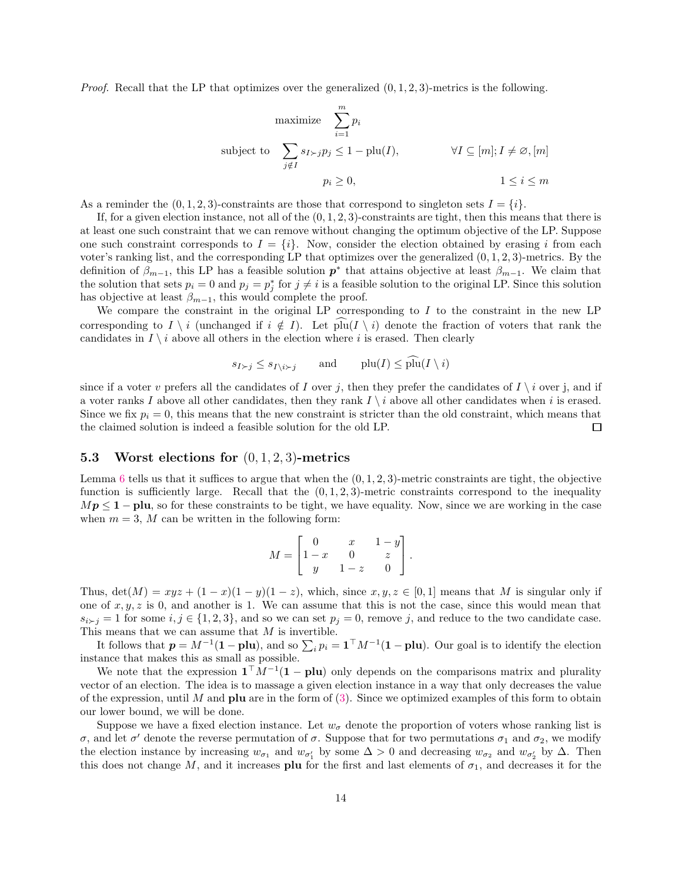*Proof.* Recall that the LP that optimizes over the generalized  $(0, 1, 2, 3)$ -metrics is the following.

maximize 
$$
\sum_{i=1}^{m} p_i
$$
  
\nsubject to  $\sum_{j \notin I} s_{I \succ j} p_j \le 1 - \text{plu}(I)$ ,  $\forall I \subseteq [m]; I \ne \emptyset, [m]$   
\n $p_i \ge 0$ ,  $1 \le i \le m$ 

As a reminder the  $(0, 1, 2, 3)$ -constraints are those that correspond to singleton sets  $I = \{i\}$ .

If, for a given election instance, not all of the  $(0, 1, 2, 3)$ -constraints are tight, then this means that there is at least one such constraint that we can remove without changing the optimum objective of the LP. Suppose one such constraint corresponds to  $I = \{i\}$ . Now, consider the election obtained by erasing i from each voter's ranking list, and the corresponding LP that optimizes over the generalized  $(0, 1, 2, 3)$ -metrics. By the definition of  $\beta_{m-1}$ , this LP has a feasible solution  $p^*$  that attains objective at least  $\beta_{m-1}$ . We claim that the solution that sets  $p_i = 0$  and  $p_j = p_j^*$  for  $j \neq i$  is a feasible solution to the original LP. Since this solution has objective at least  $\beta_{m-1}$ , this would complete the proof.

We compare the constraint in the original LP corresponding to  $I$  to the constraint in the new LP corresponding to  $I \setminus i$  (unchanged if  $i \notin I$ ). Let  $\text{plu}(I \setminus i)$  denote the fraction of voters that rank the candidates in  $I \setminus i$  above all others in the election where i is erased. Then clearly

$$
s_{I \succ j} \le s_{I \setminus i \succ j} \qquad \text{and} \qquad \text{plu}(I) \le \text{plu}(I \setminus i)
$$

since if a voter v prefers all the candidates of I over j, then they prefer the candidates of I  $\setminus i$  over j, and if a voter ranks I above all other candidates, then they rank  $I \setminus i$  above all other candidates when i is erased. Since we fix  $p_i = 0$ , this means that the new constraint is stricter than the old constraint, which means that the claimed solution is indeed a feasible solution for the old LP.  $\Box$ 

#### <span id="page-13-0"></span>5.3 Worst elections for  $(0, 1, 2, 3)$ -metrics

Lemma [6](#page-12-0) tells us that it suffices to argue that when the  $(0, 1, 2, 3)$ -metric constraints are tight, the objective function is sufficiently large. Recall that the  $(0, 1, 2, 3)$ -metric constraints correspond to the inequality  $Mp \leq 1$  – plu, so for these constraints to be tight, we have equality. Now, since we are working in the case when  $m = 3$ , M can be written in the following form:

$$
M = \begin{bmatrix} 0 & x & 1-y \\ 1-x & 0 & z \\ y & 1-z & 0 \end{bmatrix}.
$$

Thus,  $\det(M) = xyz + (1-x)(1-y)(1-z)$ , which, since  $x, y, z \in [0,1]$  means that M is singular only if one of  $x, y, z$  is 0, and another is 1. We can assume that this is not the case, since this would mean that  $s_{i \succ j} = 1$  for some  $i, j \in \{1, 2, 3\}$ , and so we can set  $p_j = 0$ , remove j, and reduce to the two candidate case. This means that we can assume that  $M$  is invertible.

It follows that  $p = M^{-1}(1 - \text{plu})$ , and so  $\sum_i p_i = \mathbf{1}^\top M^{-1}(\mathbf{1} - \text{plu})$ . Our goal is to identify the election instance that makes this as small as possible.

We note that the expression  $\mathbf{1}^\top M^{-1}(\mathbf{1}-\mathbf{plu})$  only depends on the comparisons matrix and plurality vector of an election. The idea is to massage a given election instance in a way that only decreases the value of the expression, until M and **plu** are in the form of  $(3)$ . Since we optimized examples of this form to obtain our lower bound, we will be done.

Suppose we have a fixed election instance. Let  $w_{\sigma}$  denote the proportion of voters whose ranking list is σ, and let σ' denote the reverse permutation of σ. Suppose that for two permutations  $\sigma_1$  and  $\sigma_2$ , we modify the election instance by increasing  $w_{\sigma_1}$  and  $w_{\sigma'_1}$  by some  $\Delta > 0$  and decreasing  $w_{\sigma_2}$  and  $w_{\sigma'_2}$  by  $\Delta$ . Then this does not change M, and it increases plu for the first and last elements of  $\sigma_1$ , and decreases it for the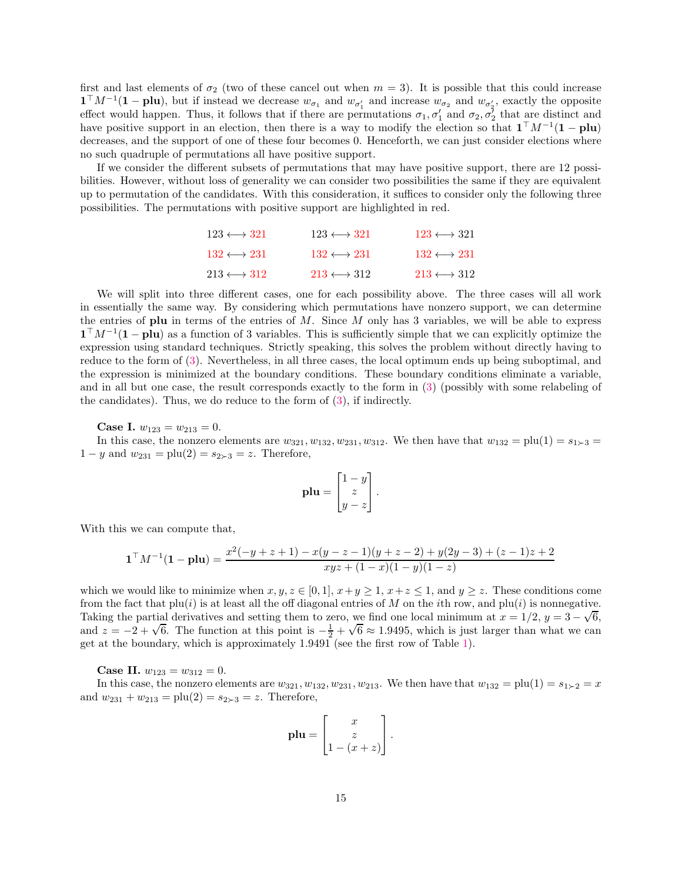first and last elements of  $\sigma_2$  (two of these cancel out when  $m = 3$ ). It is possible that this could increase  $\mathbf{1}^{\top} M^{-1}(\mathbf{1}-\mathbf{plu})$ , but if instead we decrease  $w_{\sigma_1}$  and  $w_{\sigma'_1}$  and increase  $w_{\sigma_2}$  and  $w_{\sigma'_2}$ , exactly the opposite effect would happen. Thus, it follows that if there are permutations  $\sigma_1, \sigma'_1$  and  $\sigma_2, \sigma'_2$  that are distinct and have positive support in an election, then there is a way to modify the election so that  $\mathbf{1}^\top M^{-1}(\mathbf{1}-\mathbf{plu})$ decreases, and the support of one of these four becomes 0. Henceforth, we can just consider elections where no such quadruple of permutations all have positive support.

If we consider the different subsets of permutations that may have positive support, there are 12 possibilities. However, without loss of generality we can consider two possibilities the same if they are equivalent up to permutation of the candidates. With this consideration, it suffices to consider only the following three possibilities. The permutations with positive support are highlighted in red.

| $123 \leftrightarrow 321$     | $123 \leftrightarrow 321$ | $123 \leftrightarrow 321$ |
|-------------------------------|---------------------------|---------------------------|
| $132 \leftrightarrow 231$     | $132 \leftrightarrow 231$ | $132 \leftrightarrow 231$ |
| $213 \longleftrightarrow 312$ | $213 \leftrightarrow 312$ | $213 \leftrightarrow 312$ |

We will split into three different cases, one for each possibility above. The three cases will all work in essentially the same way. By considering which permutations have nonzero support, we can determine the entries of plu in terms of the entries of M. Since M only has 3 variables, we will be able to express  $\mathbf{1}^\top M^{-1}(\mathbf{1}-\mathbf{plu})$  as a function of 3 variables. This is sufficiently simple that we can explicitly optimize the expression using standard techniques. Strictly speaking, this solves the problem without directly having to reduce to the form of [\(3\)](#page-7-0). Nevertheless, in all three cases, the local optimum ends up being suboptimal, and the expression is minimized at the boundary conditions. These boundary conditions eliminate a variable, and in all but one case, the result corresponds exactly to the form in [\(3\)](#page-7-0) (possibly with some relabeling of the candidates). Thus, we do reduce to the form of [\(3\)](#page-7-0), if indirectly.

**Case I.**  $w_{123} = w_{213} = 0$ .

In this case, the nonzero elements are  $w_{321}, w_{132}, w_{231}, w_{312}$ . We then have that  $w_{132} = \text{plu}(1) = s_{1 \succ 3}$  $1 - y$  and  $w_{231} = \text{plu}(2) = s_{2 \succ 3} = z$ . Therefore,

$$
\mathbf{plu} = \begin{bmatrix} 1 - y \\ z \\ y - z \end{bmatrix}.
$$

With this we can compute that,

$$
\mathbf{1}^\top M^{-1}(\mathbf{1}-\mathbf{plu}) = \frac{x^2(-y+z+1) - x(y-z-1)(y+z-2) + y(2y-3) + (z-1)z + 2}{xyz + (1-x)(1-y)(1-z)}
$$

which we would like to minimize when  $x, y, z \in [0, 1], x+y \geq 1, x+z \leq 1$ , and  $y \geq z$ . These conditions come from the fact that  $\text{plu}(i)$  is at least all the off diagonal entries of M on the *i*th row, and  $\text{plu}(i)$  is nonnegative. Taking the partial derivatives and setting them to zero, we find one local minimum at  $x = 1/2$ ,  $y = 3 - \sqrt{6}$ , and  $z = -2 + \sqrt{6}$ . The function at this point is  $-\frac{1}{2} + \sqrt{6} \approx 1.9495$ , which is just larger than what we can get at the boundary, which is approximately 1.9491 (see the first row of Table [1\)](#page-8-0).

**Case II.**  $w_{123} = w_{312} = 0$ .

In this case, the nonzero elements are  $w_{321}, w_{132}, w_{231}, w_{213}$ . We then have that  $w_{132} = \text{plu}(1) = s_{1\succeq 2} = x$ and  $w_{231} + w_{213} = \text{plu}(2) = s_{2 \succ 3} = z$ . Therefore,

$$
\mathbf{plu} = \begin{bmatrix} x \\ z \\ 1 - (x + z) \end{bmatrix}.
$$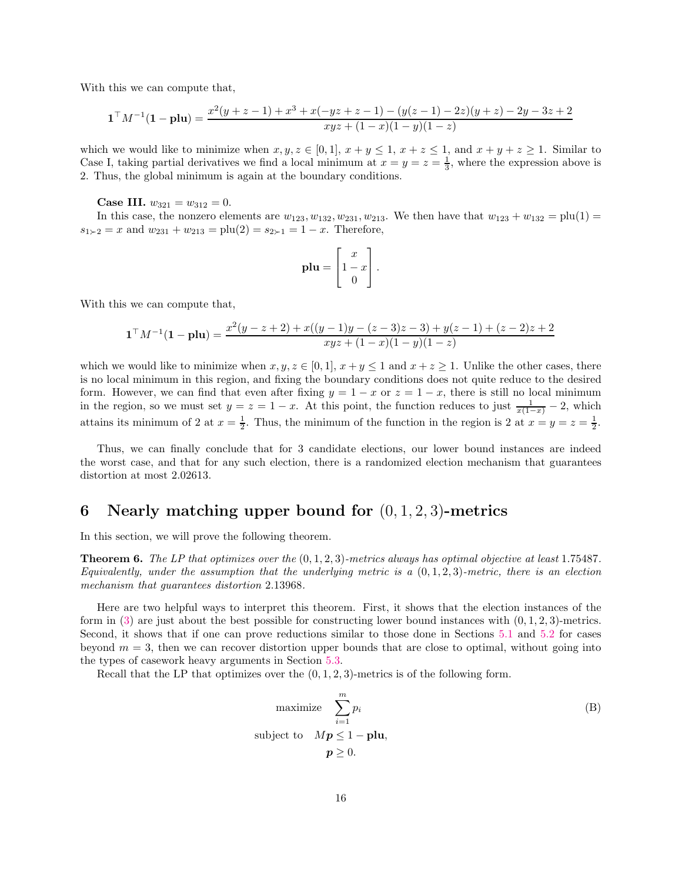With this we can compute that,

$$
\mathbf{1}^\top M^{-1}(\mathbf{1}-\mathbf{plu}) = \frac{x^2(y+z-1) + x^3 + x(-yz+z-1) - (y(z-1)-2z)(y+z) - 2y - 3z + 2}{xyz + (1-x)(1-y)(1-z)}
$$

which we would like to minimize when  $x, y, z \in [0, 1], x + y \leq 1, x + z \leq 1$ , and  $x + y + z \geq 1$ . Similar to Case I, taking partial derivatives we find a local minimum at  $x = y = z = \frac{1}{3}$ , where the expression above is 2. Thus, the global minimum is again at the boundary conditions.

Case III.  $w_{321} = w_{312} = 0$ .

In this case, the nonzero elements are  $w_{123}, w_{132}, w_{231}, w_{213}$ . We then have that  $w_{123} + w_{132} = \text{plu}(1) =$  $s_{1 \succ 2} = x$  and  $w_{231} + w_{213} = \text{plu}(2) = s_{2 \succ 1} = 1 - x$ . Therefore,

$$
\mathbf{plu} = \begin{bmatrix} x \\ 1 - x \\ 0 \end{bmatrix}.
$$

With this we can compute that,

$$
\mathbf{1}^\top M^{-1}(\mathbf{1}-\mathbf{plu}) = \frac{x^2(y-z+2) + x((y-1)y - (z-3)z - 3) + y(z-1) + (z-2)z + 2}{xyz + (1-x)(1-y)(1-z)}
$$

which we would like to minimize when  $x, y, z \in [0, 1], x + y \leq 1$  and  $x + z \geq 1$ . Unlike the other cases, there is no local minimum in this region, and fixing the boundary conditions does not quite reduce to the desired form. However, we can find that even after fixing  $y = 1 - x$  or  $z = 1 - x$ , there is still no local minimum in the region, so we must set  $y = z = 1 - x$ . At this point, the function reduces to just  $\frac{1}{x(1-x)} - 2$ , which attains its minimum of 2 at  $x = \frac{1}{2}$ . Thus, the minimum of the function in the region is 2 at  $x = y = z = \frac{1}{2}$ .

Thus, we can finally conclude that for 3 candidate elections, our lower bound instances are indeed the worst case, and that for any such election, there is a randomized election mechanism that guarantees distortion at most 2.02613.

## <span id="page-15-0"></span>6 Nearly matching upper bound for  $(0, 1, 2, 3)$ -metrics

<span id="page-15-1"></span>In this section, we will prove the following theorem.

Theorem 6. *The LP that optimizes over the* (0, 1, 2, 3)*-metrics always has optimal objective at least* 1.75487*. Equivalently, under the assumption that the underlying metric is a* (0, 1, 2, 3)*-metric, there is an election mechanism that guarantees distortion* 2.13968*.*

Here are two helpful ways to interpret this theorem. First, it shows that the election instances of the form in  $(3)$  are just about the best possible for constructing lower bound instances with  $(0, 1, 2, 3)$ -metrics. Second, it shows that if one can prove reductions similar to those done in Sections [5.1](#page-9-1) and [5.2](#page-12-1) for cases beyond  $m = 3$ , then we can recover distortion upper bounds that are close to optimal, without going into the types of casework heavy arguments in Section [5.3.](#page-13-0)

Recall that the LP that optimizes over the  $(0, 1, 2, 3)$ -metrics is of the following form.

<span id="page-15-2"></span>maximize 
$$
\sum_{i=1}^{m} p_i
$$
  
subject to 
$$
Mp \le 1 - \mathbf{plu},
$$

$$
p \ge 0.
$$
 (B)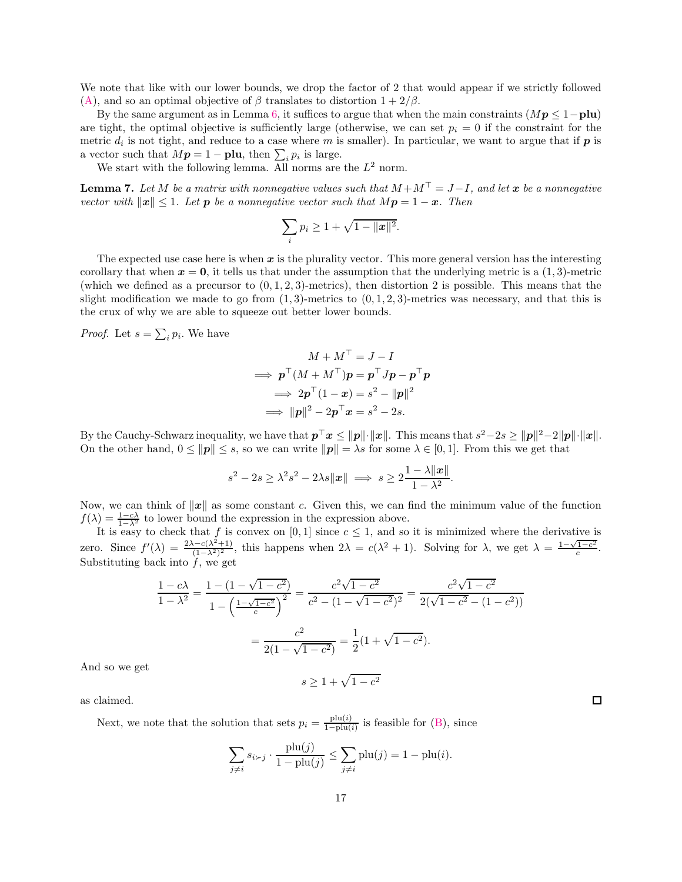We note that like with our lower bounds, we drop the factor of 2 that would appear if we strictly followed [\(A\)](#page-5-2), and so an optimal objective of  $\beta$  translates to distortion  $1 + 2/\beta$ .

By the same argument as in Lemma [6,](#page-12-0) it suffices to argue that when the main constraints  $(Mp \leq 1-p\text{lu})$ are tight, the optimal objective is sufficiently large (otherwise, we can set  $p_i = 0$  if the constraint for the metric  $d_i$  is not tight, and reduce to a case where m is smaller). In particular, we want to argue that if  $p$  is a vector such that  $M\mathbf{p} = 1 - \mathbf{plu}$ , then  $\sum_i p_i$  is large.

<span id="page-16-0"></span>We start with the following lemma. All norms are the  $L^2$  norm.

**Lemma 7.** Let M be a matrix with nonnegative values such that  $M + M^{\top} = J - I$ , and let x be a nonnegative *vector with*  $\|\mathbf{x}\| \leq 1$ *. Let* **p** *be a nonnegative vector such that*  $M\mathbf{p} = 1 - \mathbf{x}$ *. Then* 

$$
\sum_i p_i \geq 1 + \sqrt{1 - ||\mathbf{x}||^2}.
$$

The expected use case here is when  $x$  is the plurality vector. This more general version has the interesting corollary that when  $x = 0$ , it tells us that under the assumption that the underlying metric is a  $(1, 3)$ -metric (which we defined as a precursor to  $(0, 1, 2, 3)$ -metrics), then distortion 2 is possible. This means that the slight modification we made to go from  $(1, 3)$ -metrics to  $(0, 1, 2, 3)$ -metrics was necessary, and that this is the crux of why we are able to squeeze out better lower bounds.

*Proof.* Let  $s = \sum_i p_i$ . We have

$$
M + M^{\perp} = J - I
$$
  
\n
$$
\implies \mathbf{p}^{\top} (M + M^{\top}) \mathbf{p} = \mathbf{p}^{\top} J \mathbf{p} - \mathbf{p}^{\top} \mathbf{p}
$$
  
\n
$$
\implies 2\mathbf{p}^{\top} (1 - \mathbf{x}) = s^2 - ||\mathbf{p}||^2
$$
  
\n
$$
\implies ||\mathbf{p}||^2 - 2\mathbf{p}^{\top} \mathbf{x} = s^2 - 2s.
$$

By the Cauchy-Schwarz inequality, we have that  $p^{\top}x \leq ||p|| \cdot ||x||$ . This means that  $s^2-2s \geq ||p||^2-2||p|| \cdot ||x||$ . On the other hand,  $0 \le ||p|| \le s$ , so we can write  $||p|| = \lambda s$  for some  $\lambda \in [0, 1]$ . From this we get that

$$
s^2 - 2s \ge \lambda^2 s^2 - 2\lambda s \|x\| \implies s \ge 2 \frac{1 - \lambda \|x\|}{1 - \lambda^2}.
$$

Now, we can think of  $||x||$  as some constant c. Given this, we can find the minimum value of the function  $f(\lambda) = \frac{1-c\lambda}{1-\lambda^2}$  to lower bound the expression in the expression above.

It is easy to check that f is convex on [0, 1] since  $c \leq 1$ , and so it is minimized where the derivative is zero. Since  $f'(\lambda) = \frac{2\lambda - c(\lambda^2 + 1)}{(1 - \lambda^2)^2}$  $\frac{(-c(\lambda^2+1))}{(1-\lambda^2)^2}$ , this happens when  $2\lambda = c(\lambda^2+1)$ . Solving for  $\lambda$ , we get  $\lambda = \frac{1-\sqrt{1-c^2}}{c}$  $\frac{c^{1-c^2}}{c}$ . Substituting back into  $f$ , we get

$$
\frac{1 - c\lambda}{1 - \lambda^2} = \frac{1 - (1 - \sqrt{1 - c^2})}{1 - \left(\frac{1 - \sqrt{1 - c^2}}{c}\right)^2} = \frac{c^2 \sqrt{1 - c^2}}{c^2 - (1 - \sqrt{1 - c^2})^2} = \frac{c^2 \sqrt{1 - c^2}}{2(\sqrt{1 - c^2} - (1 - c^2))}
$$

$$
= \frac{c^2}{2(1 - \sqrt{1 - c^2})} = \frac{1}{2}(1 + \sqrt{1 - c^2}).
$$

 $s \geq 1 + \sqrt{1 - c^2}$ 

And so we get

as claimed.

Next, we note that the solution that sets  $p_i = \frac{p!u(i)}{1-p!u(i)}$  $\frac{\text{pu}(i)}{1-\text{pu}(i)}$  is feasible for [\(B\)](#page-15-2), since

$$
\sum_{j \neq i} s_{i \succ j} \cdot \frac{\text{plu}(j)}{1 - \text{plu}(j)} \le \sum_{j \neq i} \text{plu}(j) = 1 - \text{plu}(i).
$$

 $\Box$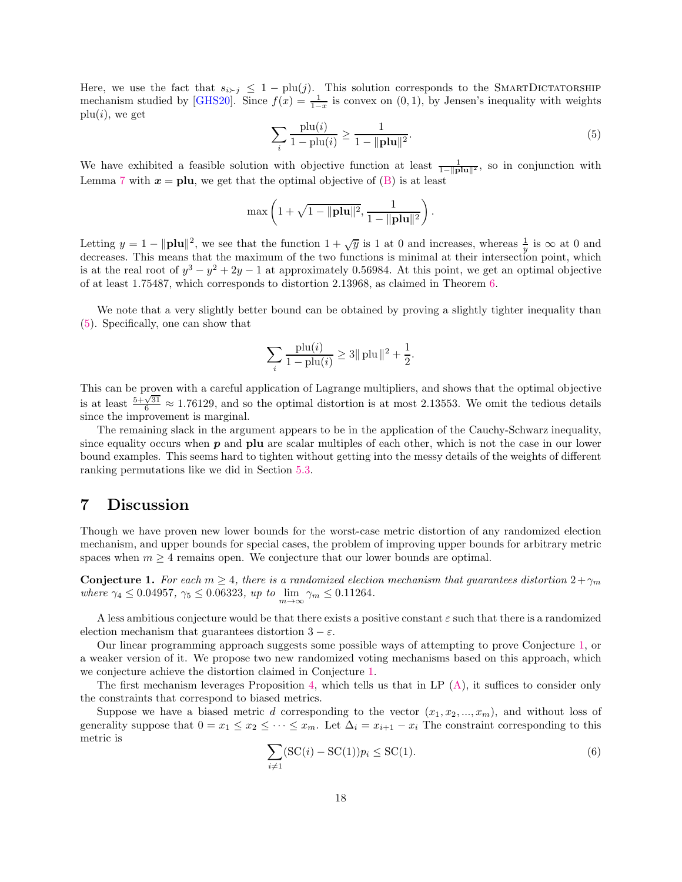Here, we use the fact that  $s_{i \succ j} \leq 1 - \text{plu}(j)$ . This solution corresponds to the SMARTDICTATORSHIP mechanism studied by [\[GHS20\]](#page-19-8). Since  $f(x) = \frac{1}{1-x}$  is convex on  $(0, 1)$ , by Jensen's inequality with weights  $plu(i)$ , we get

<span id="page-17-1"></span>
$$
\sum_{i} \frac{\text{plu}(i)}{1 - \text{plu}(i)} \ge \frac{1}{1 - \|\text{plu}\|^2}.
$$
\n(5)

We have exhibited a feasible solution with objective function at least  $\frac{1}{1-||\mathbf{p}||\mathbf{u}||^2}$ , so in conjunction with Lemma [7](#page-16-0) with  $x =$  plu, we get that the optimal objective of [\(B\)](#page-15-2) is at least

$$
\max\left(1+\sqrt{1-\|\mathbf{plu}\|^2},\frac{1}{1-\|\mathbf{plu}\|^2}\right).
$$

Letting  $y = 1 - ||\mathbf{plu}||^2$ , we see that the function  $1 + \sqrt{y}$  is 1 at 0 and increases, whereas  $\frac{1}{y}$  is  $\infty$  at 0 and decreases. This means that the maximum of the two functions is minimal at their intersection point, which is at the real root of  $y^3 - y^2 + 2y - 1$  at approximately 0.56984. At this point, we get an optimal objective of at least 1.75487, which corresponds to distortion 2.13968, as claimed in Theorem [6.](#page-15-1)

We note that a very slightly better bound can be obtained by proving a slightly tighter inequality than [\(5\)](#page-17-1). Specifically, one can show that

$$
\sum_{i} \frac{\text{plu}(i)}{1 - \text{plu}(i)} \ge 3 || \text{plu} ||^2 + \frac{1}{2}.
$$

This can be proven with a careful application of Lagrange multipliers, and shows that the optimal objective is at least  $\frac{5+\sqrt{31}}{6} \approx 1.76129$ , and so the optimal distortion is at most 2.13553. We omit the tedious details since the improvement is marginal.

The remaining slack in the argument appears to be in the application of the Cauchy-Schwarz inequality, since equality occurs when  $p$  and  $p$ lu are scalar multiples of each other, which is not the case in our lower bound examples. This seems hard to tighten without getting into the messy details of the weights of different ranking permutations like we did in Section [5.3.](#page-13-0)

### <span id="page-17-0"></span>7 Discussion

Though we have proven new lower bounds for the worst-case metric distortion of any randomized election mechanism, and upper bounds for special cases, the problem of improving upper bounds for arbitrary metric spaces when  $m \geq 4$  remains open. We conjecture that our lower bounds are optimal.

<span id="page-17-2"></span>**Conjecture 1.** For each  $m \geq 4$ , there is a randomized election mechanism that guarantees distortion  $2 + \gamma_m$ *where*  $\gamma_4 \le 0.04957$ ,  $\gamma_5 \le 0.06323$ , *up to*  $\lim_{m \to \infty} \gamma_m \le 0.11264$ .

A less ambitious conjecture would be that there exists a positive constant  $\varepsilon$  such that there is a randomized election mechanism that guarantees distortion  $3 - \varepsilon$ .

Our linear programming approach suggests some possible ways of attempting to prove Conjecture [1,](#page-17-2) or a weaker version of it. We propose two new randomized voting mechanisms based on this approach, which we conjecture achieve the distortion claimed in Conjecture [1.](#page-17-2)

The first mechanism leverages Proposition [4,](#page-10-0) which tells us that in LP [\(A\)](#page-5-2), it suffices to consider only the constraints that correspond to biased metrics.

Suppose we have a biased metric d corresponding to the vector  $(x_1, x_2, ..., x_m)$ , and without loss of generality suppose that  $0 = x_1 \le x_2 \le \cdots \le x_m$ . Let  $\Delta_i = x_{i+1} - x_i$  The constraint corresponding to this metric is

<span id="page-17-3"></span>
$$
\sum_{i \neq 1} (\text{SC}(i) - \text{SC}(1))p_i \leq \text{SC}(1). \tag{6}
$$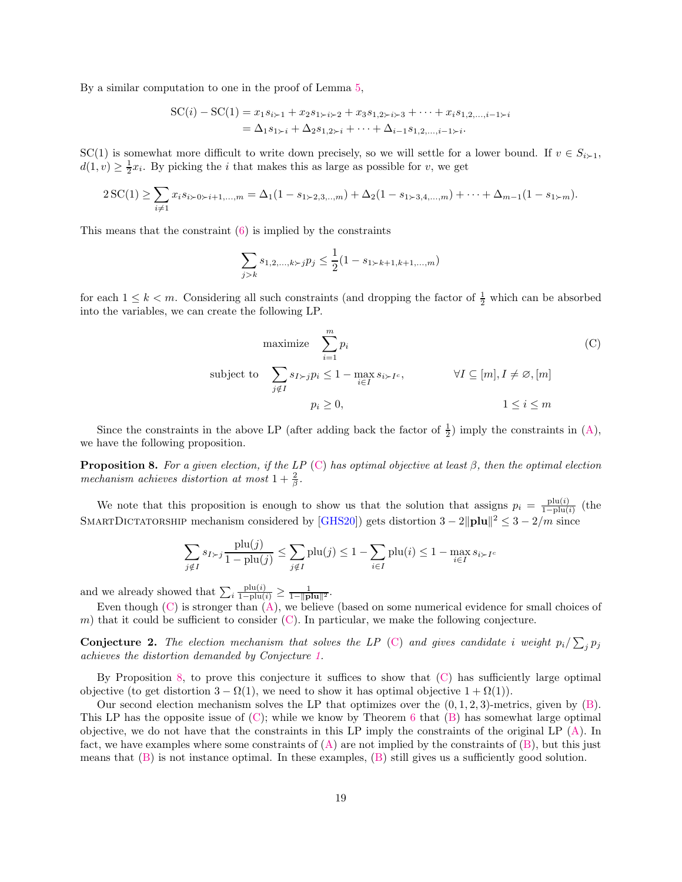By a similar computation to one in the proof of Lemma [5,](#page-11-1)

$$
SC(i) - SC(1) = x_1 s_{i+1} + x_2 s_{1+i+2} + x_3 s_{1,2+i+3} + \dots + x_i s_{1,2,\dots,i-1+i}
$$
  
=  $\Delta_1 s_{1+i} + \Delta_2 s_{1,2+i} + \dots + \Delta_{i-1} s_{1,2,\dots,i-1+i}.$ 

SC(1) is somewhat more difficult to write down precisely, so we will settle for a lower bound. If  $v \in S_{i-1}$ ,  $d(1, v) \geq \frac{1}{2}x_i$ . By picking the *i* that makes this as large as possible for *v*, we get

$$
2\,\text{SC}(1) \geq \sum_{i \neq 1} x_i s_{i \geq 0} \geq i+1, \dots, m = \Delta_1(1 - s_{1 \geq 2,3,\dots,m}) + \Delta_2(1 - s_{1 \geq 3,4,\dots,m}) + \dots + \Delta_{m-1}(1 - s_{1 \geq m}).
$$

This means that the constraint [\(6\)](#page-17-3) is implied by the constraints

<span id="page-18-0"></span>
$$
\sum_{j>k} s_{1,2,\dots,k} \sum_{j} p_j \le \frac{1}{2} (1 - s_{1,k+1,k+1,\dots,m})
$$

for each  $1 \leq k \leq m$ . Considering all such constraints (and dropping the factor of  $\frac{1}{2}$  which can be absorbed into the variables, we can create the following LP.

maximize 
$$
\sum_{i=1}^{m} p_i
$$
 (C)  
\nsubject to  $\sum_{j \notin I} s_{I \succ j} p_i \le 1 - \max_{i \in I} s_{i \succ I^c}$ ,  $\forall I \subseteq [m], I \ne \emptyset, [m]$   
\n $p_i \ge 0$ ,  $1 \le i \le m$ 

<span id="page-18-1"></span>Since the constraints in the above LP (after adding back the factor of  $\frac{1}{2}$ ) imply the constraints in [\(A\)](#page-5-2), we have the following proposition.

Proposition 8. *For a given election, if the LP* [\(C\)](#page-18-0) *has optimal objective at least* β*, then the optimal election mechanism achieves distortion at most*  $1 + \frac{2}{\beta}$ .

We note that this proposition is enough to show us that the solution that assigns  $p_i = \frac{p!u(i)}{1-p!u(i)}$  $\frac{\text{pu}(i)}{1-\text{plu}(i)}$  (the SMARTDICTATORSHIP mechanism considered by [\[GHS20\]](#page-19-8)) gets distortion  $3 - 2\|\mathbf{plu}\|^2 \leq 3 - 2/m$  since

$$
\sum_{j \notin I} s_{I \succ j} \frac{\text{plu}(j)}{1 - \text{plu}(j)} \le \sum_{j \notin I} \text{plu}(j) \le 1 - \sum_{i \in I} \text{plu}(i) \le 1 - \max_{i \in I} s_{i \succ I^c}
$$

and we already showed that  $\sum_i \frac{\text{plu}(i)}{1-\text{plu}(i)} \ge \frac{1}{1-\|\text{plu}\|^2}$ .

<span id="page-18-3"></span>Even though  $(C)$  is stronger than  $(A)$ , we believe (based on some numerical evidence for small choices of m) that it could be sufficient to consider  $(C)$ . In particular, we make the following conjecture.

**Conjecture 2.** The election mechanism that solves the LP [\(C\)](#page-18-0) and gives candidate i weight  $p_i / \sum_j p_j$ *achieves the distortion demanded by Conjecture [1.](#page-17-2)*

By Proposition [8,](#page-18-1) to prove this conjecture it suffices to show that [\(C\)](#page-18-0) has sufficiently large optimal objective (to get distortion  $3 - \Omega(1)$ , we need to show it has optimal objective  $1 + \Omega(1)$ ).

<span id="page-18-2"></span>Our second election mechanism solves the LP that optimizes over the  $(0, 1, 2, 3)$ -metrics, given by  $(B)$ . This LP has the opposite issue of  $(C)$ ; while we know by Theorem [6](#page-15-1) that  $(B)$  has somewhat large optimal objective, we do not have that the constraints in this LP imply the constraints of the original LP [\(A\)](#page-5-2). In fact, we have examples where some constraints of  $(A)$  are not implied by the constraints of  $(B)$ , but this just means that [\(B\)](#page-15-2) is not instance optimal. In these examples, [\(B\)](#page-15-2) still gives us a sufficiently good solution.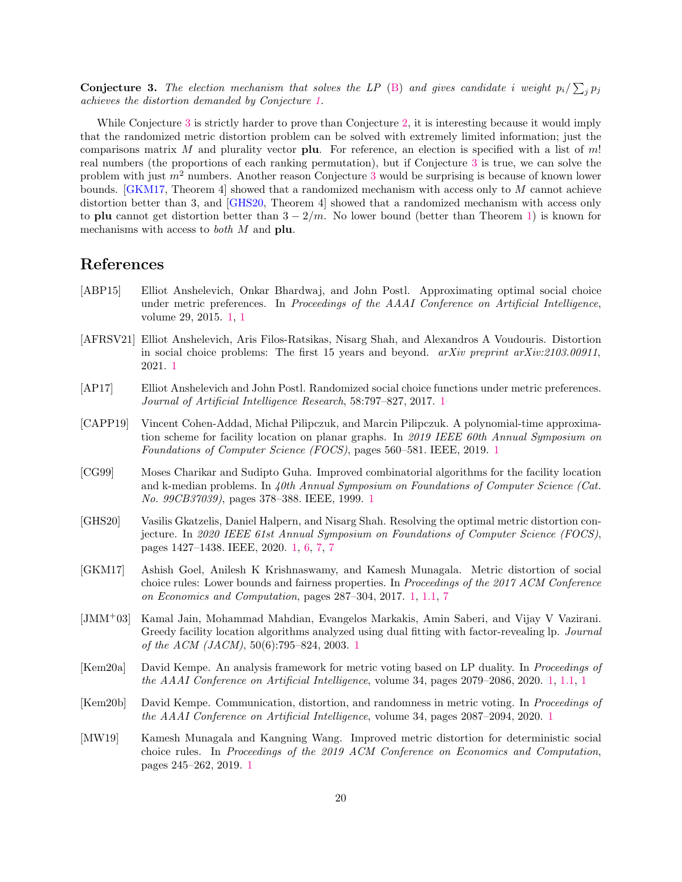**Conjecture 3.** The election mechanism that solves the LP [\(B\)](#page-15-2) and gives candidate i weight  $p_i / \sum_j p_j$ *achieves the distortion demanded by Conjecture [1.](#page-17-2)*

While Conjecture [3](#page-18-2) is strictly harder to prove than Conjecture [2,](#page-18-3) it is interesting because it would imply that the randomized metric distortion problem can be solved with extremely limited information; just the comparisons matrix M and plurality vector **plu**. For reference, an election is specified with a list of m! real numbers (the proportions of each ranking permutation), but if Conjecture [3](#page-18-2) is true, we can solve the problem with just  $m^2$  numbers. Another reason Conjecture [3](#page-18-2) would be surprising is because of known lower bounds. [\[GKM17,](#page-19-4) Theorem 4] showed that a randomized mechanism with access only to M cannot achieve distortion better than 3, and [\[GHS20,](#page-19-8) Theorem 4] showed that a randomized mechanism with access only to plu cannot get distortion better than  $3 - 2/m$ . No lower bound (better than Theorem [1\)](#page-2-1) is known for mechanisms with access to *both* M and plu.

### References

- <span id="page-19-3"></span>[ABP15] Elliot Anshelevich, Onkar Bhardwaj, and John Postl. Approximating optimal social choice under metric preferences. In *Proceedings of the AAAI Conference on Artificial Intelligence*, volume 29, 2015. [1,](#page-1-0) [1](#page-2-0)
- <span id="page-19-5"></span>[AFRSV21] Elliot Anshelevich, Aris Filos-Ratsikas, Nisarg Shah, and Alexandros A Voudouris. Distortion in social choice problems: The first 15 years and beyond. *arXiv preprint arXiv:2103.00911*, 2021. [1](#page-2-0)
- <span id="page-19-9"></span>[AP17] Elliot Anshelevich and John Postl. Randomized social choice functions under metric preferences. *Journal of Artificial Intelligence Research*, 58:797–827, 2017. [1](#page-2-0)
- <span id="page-19-2"></span>[CAPP19] Vincent Cohen-Addad, Michał Pilipczuk, and Marcin Pilipczuk. A polynomial-time approximation scheme for facility location on planar graphs. In *2019 IEEE 60th Annual Symposium on Foundations of Computer Science (FOCS)*, pages 560–581. IEEE, 2019. [1](#page-1-0)
- <span id="page-19-0"></span>[CG99] Moses Charikar and Sudipto Guha. Improved combinatorial algorithms for the facility location and k-median problems. In *40th Annual Symposium on Foundations of Computer Science (Cat. No. 99CB37039)*, pages 378–388. IEEE, 1999. [1](#page-1-0)
- <span id="page-19-8"></span>[GHS20] Vasilis Gkatzelis, Daniel Halpern, and Nisarg Shah. Resolving the optimal metric distortion conjecture. In *2020 IEEE 61st Annual Symposium on Foundations of Computer Science (FOCS)*, pages 1427–1438. IEEE, 2020. [1,](#page-2-0) [6,](#page-16-0) [7,](#page-18-1) [7](#page-18-2)
- <span id="page-19-4"></span>[GKM17] Ashish Goel, Anilesh K Krishnaswamy, and Kamesh Munagala. Metric distortion of social choice rules: Lower bounds and fairness properties. In *Proceedings of the 2017 ACM Conference on Economics and Computation*, pages 287–304, 2017. [1,](#page-2-0) [1.1,](#page-2-2) [7](#page-18-2)
- <span id="page-19-1"></span>[JMM<sup>+</sup>03] Kamal Jain, Mohammad Mahdian, Evangelos Markakis, Amin Saberi, and Vijay V Vazirani. Greedy facility location algorithms analyzed using dual fitting with factor-revealing lp. *Journal of the ACM (JACM)*, 50(6):795–824, 2003. [1](#page-1-0)
- <span id="page-19-7"></span>[Kem20a] David Kempe. An analysis framework for metric voting based on LP duality. In *Proceedings of the AAAI Conference on Artificial Intelligence*, volume 34, pages 2079–2086, 2020. [1,](#page-2-0) [1.1,](#page-2-1) [1](#page-3-0)
- <span id="page-19-10"></span>[Kem20b] David Kempe. Communication, distortion, and randomness in metric voting. In *Proceedings of the AAAI Conference on Artificial Intelligence*, volume 34, pages 2087–2094, 2020. [1](#page-2-0)
- <span id="page-19-6"></span>[MW19] Kamesh Munagala and Kangning Wang. Improved metric distortion for deterministic social choice rules. In *Proceedings of the 2019 ACM Conference on Economics and Computation*, pages 245–262, 2019. [1](#page-2-0)